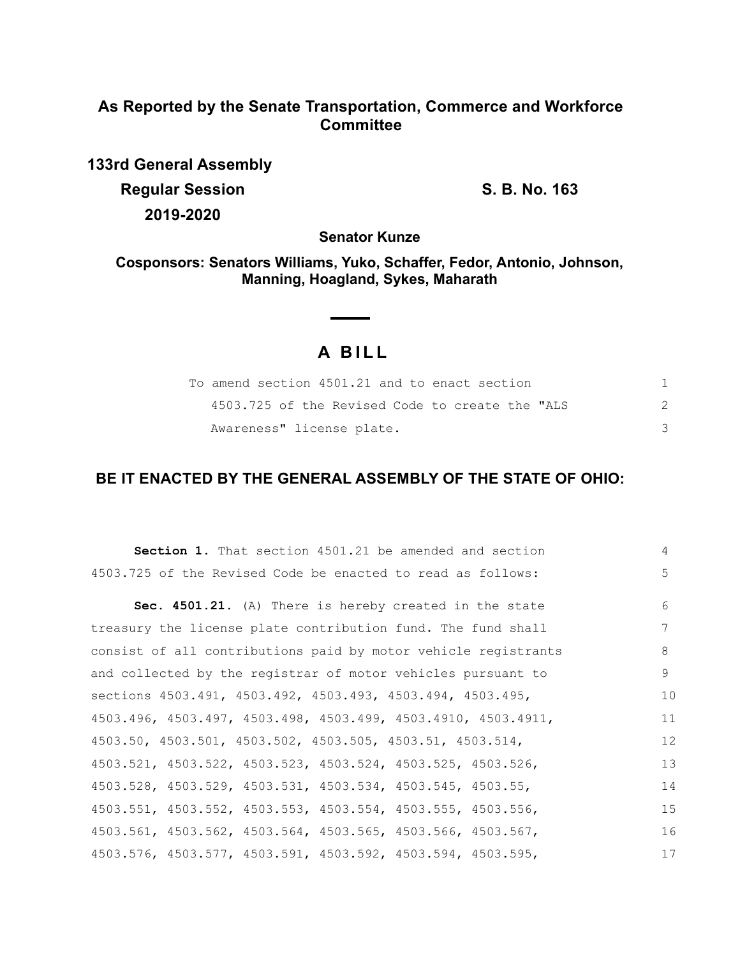# **As Reported by the Senate Transportation, Commerce and Workforce Committee**

**133rd General Assembly Regular Session S. B. No. 163 2019-2020**

**Senator Kunze**

**Cosponsors: Senators Williams, Yuko, Schaffer, Fedor, Antonio, Johnson, Manning, Hoagland, Sykes, Maharath**

 $\sim$ 

# **A B I L L**

 $\sim$ 

| To amend section 4501.21 and to enact section   |  |
|-------------------------------------------------|--|
| 4503.725 of the Revised Code to create the "ALS |  |
| Awareness" license plate.                       |  |

# **BE IT ENACTED BY THE GENERAL ASSEMBLY OF THE STATE OF OHIO:**

| Section 1. That section 4501.21 be amended and section         | 4  |
|----------------------------------------------------------------|----|
| 4503.725 of the Revised Code be enacted to read as follows:    | 5  |
| Sec. 4501.21. (A) There is hereby created in the state         | 6  |
| treasury the license plate contribution fund. The fund shall   | 7  |
| consist of all contributions paid by motor vehicle registrants | 8  |
| and collected by the registrar of motor vehicles pursuant to   | 9  |
| sections 4503.491, 4503.492, 4503.493, 4503.494, 4503.495,     | 10 |
| 4503.496, 4503.497, 4503.498, 4503.499, 4503.4910, 4503.4911,  | 11 |
| 4503.50, 4503.501, 4503.502, 4503.505, 4503.51, 4503.514,      | 12 |
| 4503.521, 4503.522, 4503.523, 4503.524, 4503.525, 4503.526,    | 13 |
| 4503.528, 4503.529, 4503.531, 4503.534, 4503.545, 4503.55,     | 14 |
| 4503.551, 4503.552, 4503.553, 4503.554, 4503.555, 4503.556,    | 15 |
| 4503.561, 4503.562, 4503.564, 4503.565, 4503.566, 4503.567,    | 16 |
| 4503.576, 4503.577, 4503.591, 4503.592, 4503.594, 4503.595,    | 17 |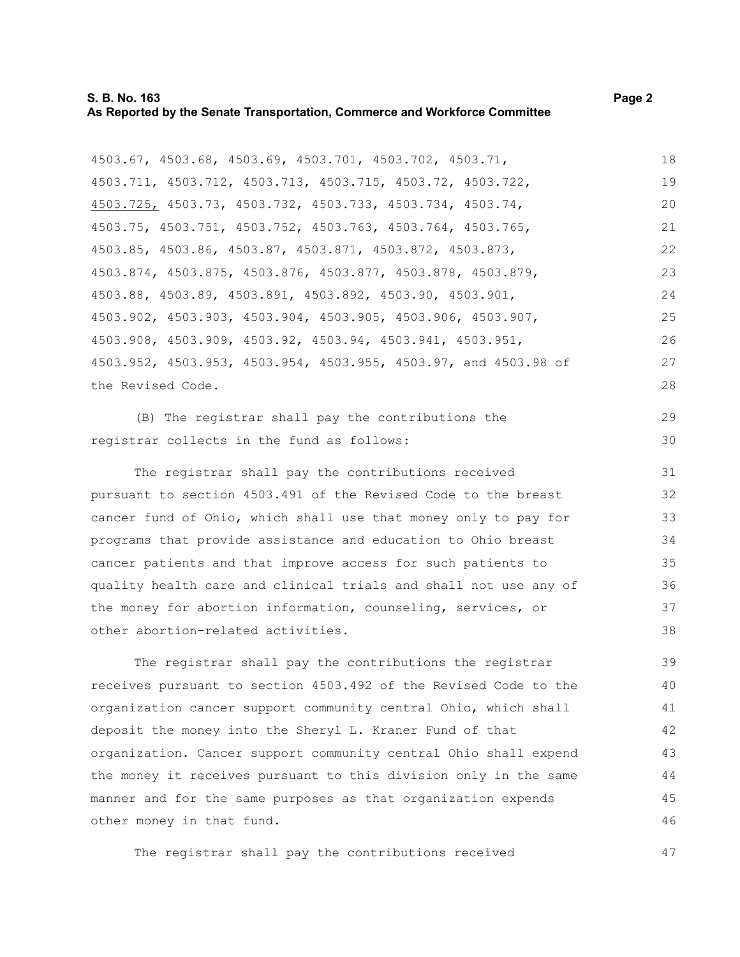#### **S. B. No. 163 Page 2 As Reported by the Senate Transportation, Commerce and Workforce Committee**

4503.67, 4503.68, 4503.69, 4503.701, 4503.702, 4503.71, 4503.711, 4503.712, 4503.713, 4503.715, 4503.72, 4503.722, 4503.725, 4503.73, 4503.732, 4503.733, 4503.734, 4503.74, 4503.75, 4503.751, 4503.752, 4503.763, 4503.764, 4503.765, 4503.85, 4503.86, 4503.87, 4503.871, 4503.872, 4503.873, 4503.874, 4503.875, 4503.876, 4503.877, 4503.878, 4503.879, 4503.88, 4503.89, 4503.891, 4503.892, 4503.90, 4503.901,

4503.902, 4503.903, 4503.904, 4503.905, 4503.906, 4503.907, 4503.908, 4503.909, 4503.92, 4503.94, 4503.941, 4503.951, 4503.952, 4503.953, 4503.954, 4503.955, 4503.97, and 4503.98 of the Revised Code. 25 26 27 28

(B) The registrar shall pay the contributions the registrar collects in the fund as follows:

The registrar shall pay the contributions received pursuant to section 4503.491 of the Revised Code to the breast cancer fund of Ohio, which shall use that money only to pay for programs that provide assistance and education to Ohio breast cancer patients and that improve access for such patients to quality health care and clinical trials and shall not use any of the money for abortion information, counseling, services, or other abortion-related activities.

The registrar shall pay the contributions the registrar receives pursuant to section 4503.492 of the Revised Code to the organization cancer support community central Ohio, which shall deposit the money into the Sheryl L. Kraner Fund of that organization. Cancer support community central Ohio shall expend the money it receives pursuant to this division only in the same manner and for the same purposes as that organization expends other money in that fund. 39 40 41 42 43 44 45 46

The registrar shall pay the contributions received

29 30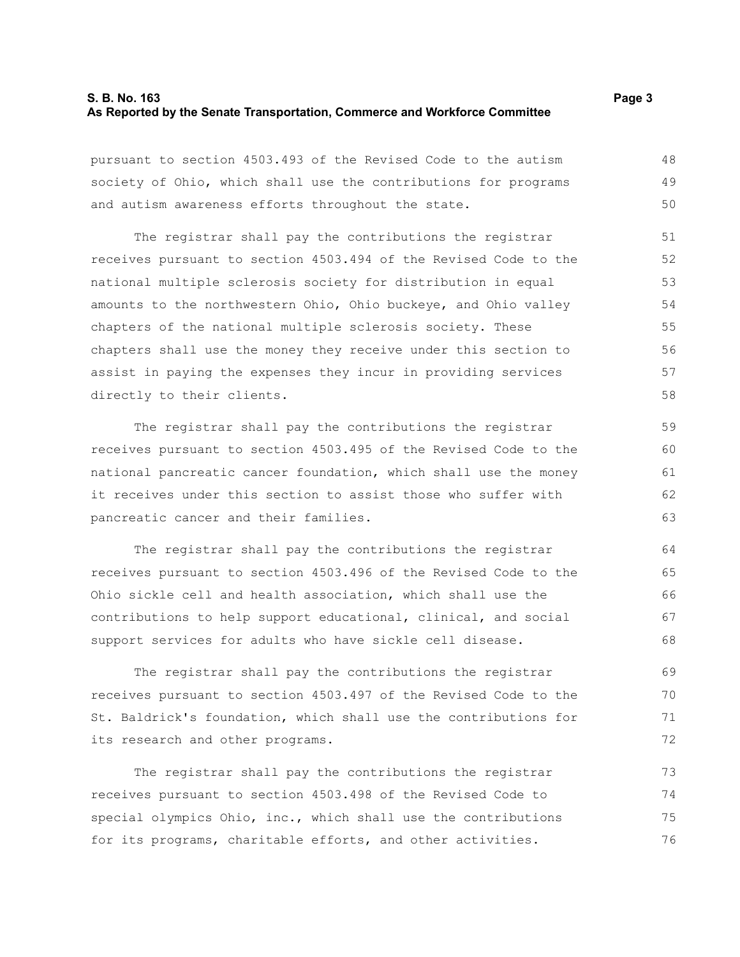#### **S. B. No. 163 Page 3 As Reported by the Senate Transportation, Commerce and Workforce Committee**

pursuant to section 4503.493 of the Revised Code to the autism society of Ohio, which shall use the contributions for programs and autism awareness efforts throughout the state. 48 49 50

The registrar shall pay the contributions the registrar receives pursuant to section 4503.494 of the Revised Code to the national multiple sclerosis society for distribution in equal amounts to the northwestern Ohio, Ohio buckeye, and Ohio valley chapters of the national multiple sclerosis society. These chapters shall use the money they receive under this section to assist in paying the expenses they incur in providing services directly to their clients. 51 52 53 54 55 56 57 58

The registrar shall pay the contributions the registrar receives pursuant to section 4503.495 of the Revised Code to the national pancreatic cancer foundation, which shall use the money it receives under this section to assist those who suffer with pancreatic cancer and their families.

The registrar shall pay the contributions the registrar receives pursuant to section 4503.496 of the Revised Code to the Ohio sickle cell and health association, which shall use the contributions to help support educational, clinical, and social support services for adults who have sickle cell disease.

The registrar shall pay the contributions the registrar receives pursuant to section 4503.497 of the Revised Code to the St. Baldrick's foundation, which shall use the contributions for its research and other programs.

The registrar shall pay the contributions the registrar receives pursuant to section 4503.498 of the Revised Code to special olympics Ohio, inc., which shall use the contributions for its programs, charitable efforts, and other activities. 73 74 75 76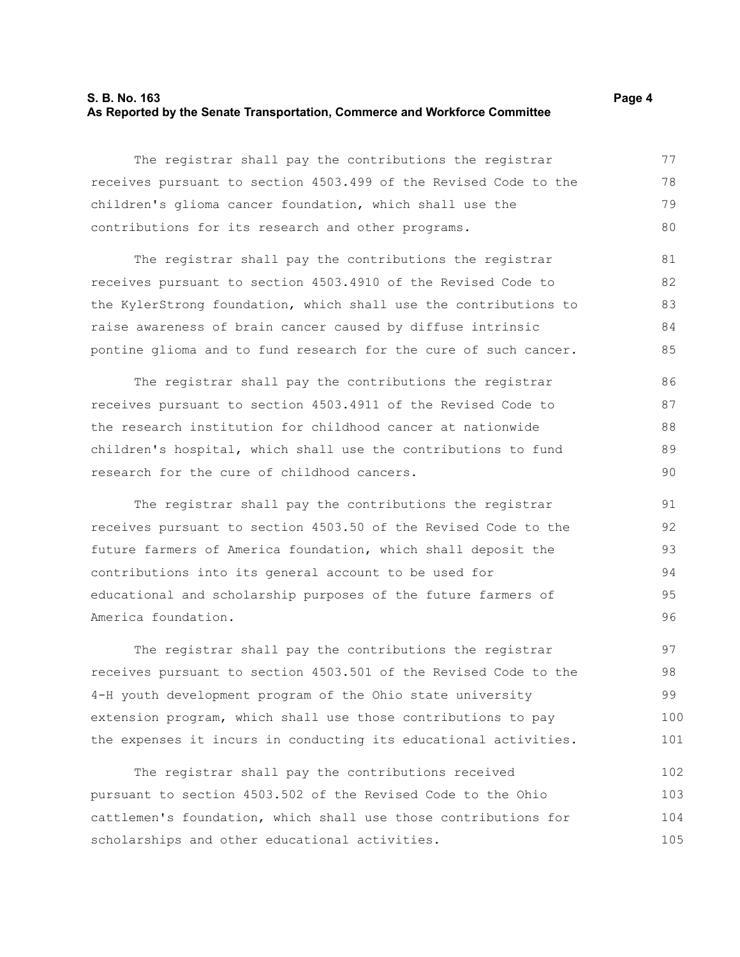#### **S. B. No. 163 Page 4 As Reported by the Senate Transportation, Commerce and Workforce Committee**

The registrar shall pay the contributions the registrar receives pursuant to section 4503.499 of the Revised Code to the children's glioma cancer foundation, which shall use the contributions for its research and other programs. 77 78 79 80

The registrar shall pay the contributions the registrar receives pursuant to section 4503.4910 of the Revised Code to the KylerStrong foundation, which shall use the contributions to raise awareness of brain cancer caused by diffuse intrinsic pontine glioma and to fund research for the cure of such cancer. 81 82 83 84 85

The registrar shall pay the contributions the registrar receives pursuant to section 4503.4911 of the Revised Code to the research institution for childhood cancer at nationwide children's hospital, which shall use the contributions to fund research for the cure of childhood cancers. 86 87 88 89 90

The registrar shall pay the contributions the registrar receives pursuant to section 4503.50 of the Revised Code to the future farmers of America foundation, which shall deposit the contributions into its general account to be used for educational and scholarship purposes of the future farmers of America foundation.

The registrar shall pay the contributions the registrar receives pursuant to section 4503.501 of the Revised Code to the 4-H youth development program of the Ohio state university extension program, which shall use those contributions to pay the expenses it incurs in conducting its educational activities. 97 98 99 100 101

The registrar shall pay the contributions received pursuant to section 4503.502 of the Revised Code to the Ohio cattlemen's foundation, which shall use those contributions for scholarships and other educational activities. 102 103 104 105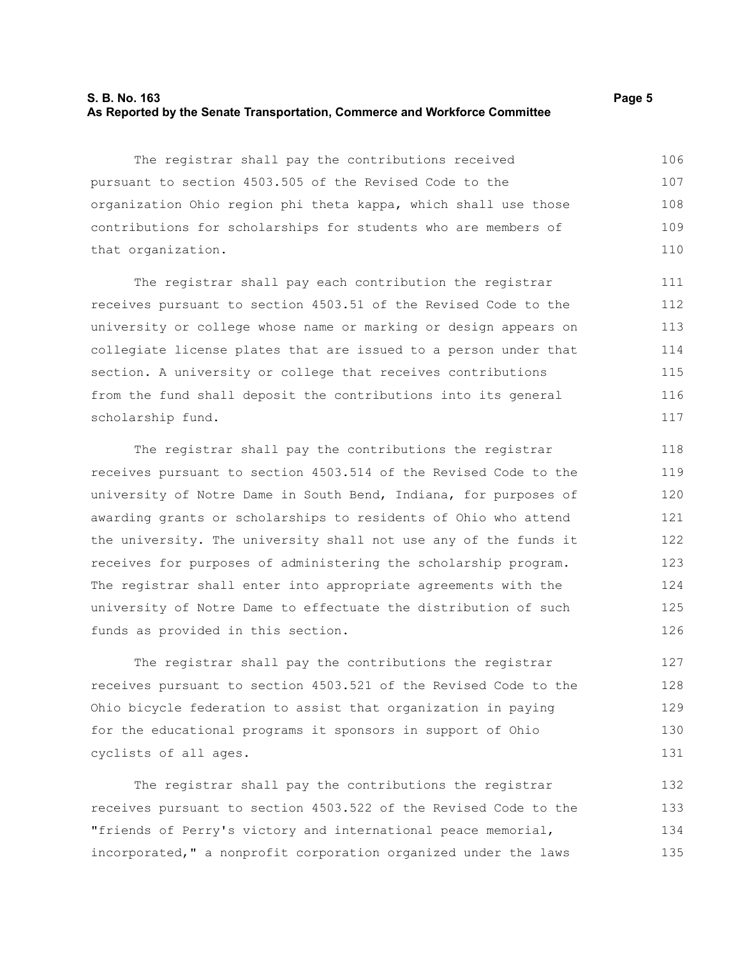#### **S. B. No. 163 Page 5 As Reported by the Senate Transportation, Commerce and Workforce Committee**

The registrar shall pay the contributions received pursuant to section 4503.505 of the Revised Code to the organization Ohio region phi theta kappa, which shall use those contributions for scholarships for students who are members of that organization. 106 107 108 109 110

The registrar shall pay each contribution the registrar receives pursuant to section 4503.51 of the Revised Code to the university or college whose name or marking or design appears on collegiate license plates that are issued to a person under that section. A university or college that receives contributions from the fund shall deposit the contributions into its general scholarship fund.

The registrar shall pay the contributions the registrar receives pursuant to section 4503.514 of the Revised Code to the university of Notre Dame in South Bend, Indiana, for purposes of awarding grants or scholarships to residents of Ohio who attend the university. The university shall not use any of the funds it receives for purposes of administering the scholarship program. The registrar shall enter into appropriate agreements with the university of Notre Dame to effectuate the distribution of such funds as provided in this section.

The registrar shall pay the contributions the registrar receives pursuant to section 4503.521 of the Revised Code to the Ohio bicycle federation to assist that organization in paying for the educational programs it sponsors in support of Ohio cyclists of all ages.

The registrar shall pay the contributions the registrar receives pursuant to section 4503.522 of the Revised Code to the "friends of Perry's victory and international peace memorial, incorporated," a nonprofit corporation organized under the laws 132 133 134 135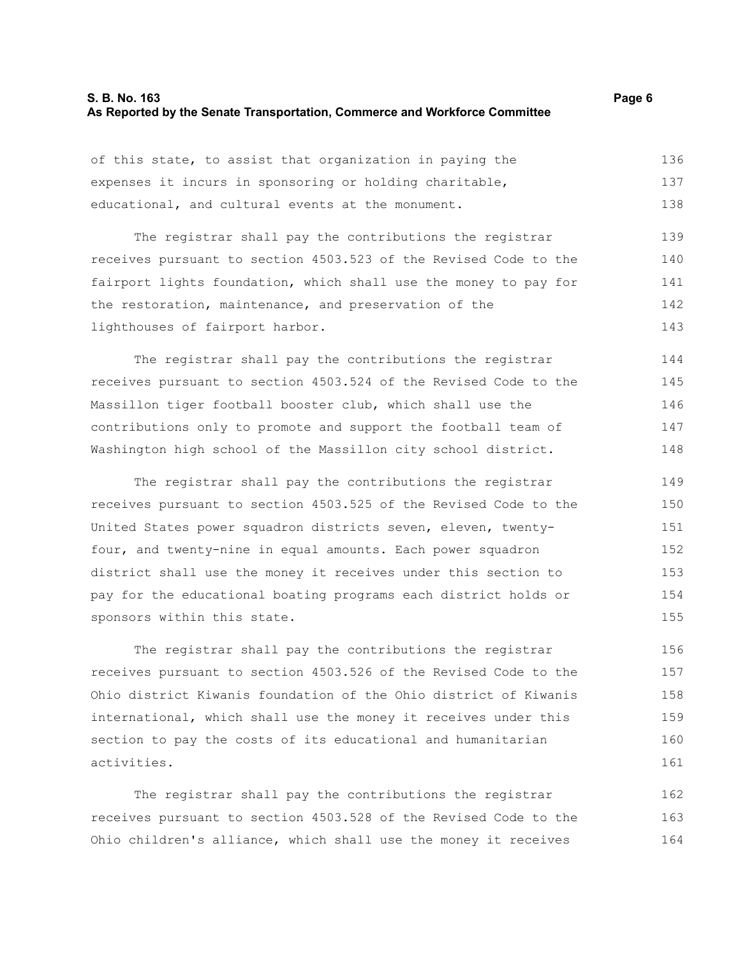#### **S. B. No. 163 Page 6 As Reported by the Senate Transportation, Commerce and Workforce Committee**

of this state, to assist that organization in paying the expenses it incurs in sponsoring or holding charitable, educational, and cultural events at the monument. 136 137 138

The registrar shall pay the contributions the registrar receives pursuant to section 4503.523 of the Revised Code to the fairport lights foundation, which shall use the money to pay for the restoration, maintenance, and preservation of the lighthouses of fairport harbor. 139 140 141 142 143

The registrar shall pay the contributions the registrar receives pursuant to section 4503.524 of the Revised Code to the Massillon tiger football booster club, which shall use the contributions only to promote and support the football team of Washington high school of the Massillon city school district. 144 145 146 147 148

The registrar shall pay the contributions the registrar receives pursuant to section 4503.525 of the Revised Code to the United States power squadron districts seven, eleven, twentyfour, and twenty-nine in equal amounts. Each power squadron district shall use the money it receives under this section to pay for the educational boating programs each district holds or sponsors within this state. 149 150 151 152 153 154 155

The registrar shall pay the contributions the registrar receives pursuant to section 4503.526 of the Revised Code to the Ohio district Kiwanis foundation of the Ohio district of Kiwanis international, which shall use the money it receives under this section to pay the costs of its educational and humanitarian activities. 156 157 158 159 160 161

The registrar shall pay the contributions the registrar receives pursuant to section 4503.528 of the Revised Code to the Ohio children's alliance, which shall use the money it receives 162 163 164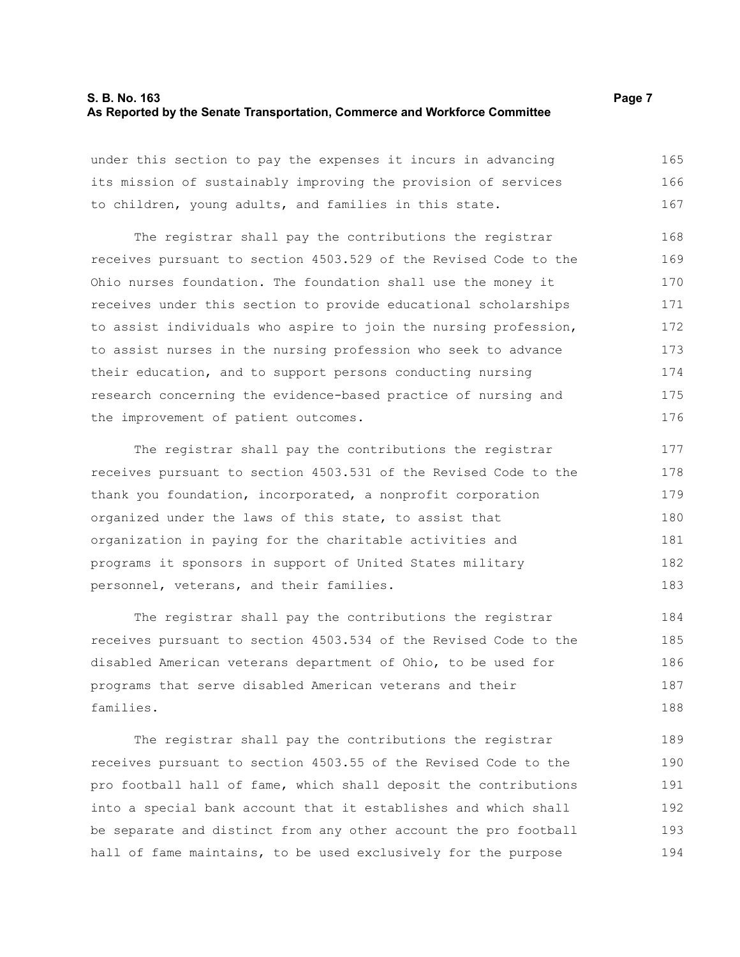#### **S. B. No. 163 Page 7 As Reported by the Senate Transportation, Commerce and Workforce Committee**

under this section to pay the expenses it incurs in advancing its mission of sustainably improving the provision of services to children, young adults, and families in this state. 165 166 167

The registrar shall pay the contributions the registrar receives pursuant to section 4503.529 of the Revised Code to the Ohio nurses foundation. The foundation shall use the money it receives under this section to provide educational scholarships to assist individuals who aspire to join the nursing profession, to assist nurses in the nursing profession who seek to advance their education, and to support persons conducting nursing research concerning the evidence-based practice of nursing and the improvement of patient outcomes. 168 169 170 171 172 173 174 175 176

The registrar shall pay the contributions the registrar receives pursuant to section 4503.531 of the Revised Code to the thank you foundation, incorporated, a nonprofit corporation organized under the laws of this state, to assist that organization in paying for the charitable activities and programs it sponsors in support of United States military personnel, veterans, and their families. 177 178 179 180 181 182 183

The registrar shall pay the contributions the registrar receives pursuant to section 4503.534 of the Revised Code to the disabled American veterans department of Ohio, to be used for programs that serve disabled American veterans and their families. 184 185 186 187 188

The registrar shall pay the contributions the registrar receives pursuant to section 4503.55 of the Revised Code to the pro football hall of fame, which shall deposit the contributions into a special bank account that it establishes and which shall be separate and distinct from any other account the pro football hall of fame maintains, to be used exclusively for the purpose 189 190 191 192 193 194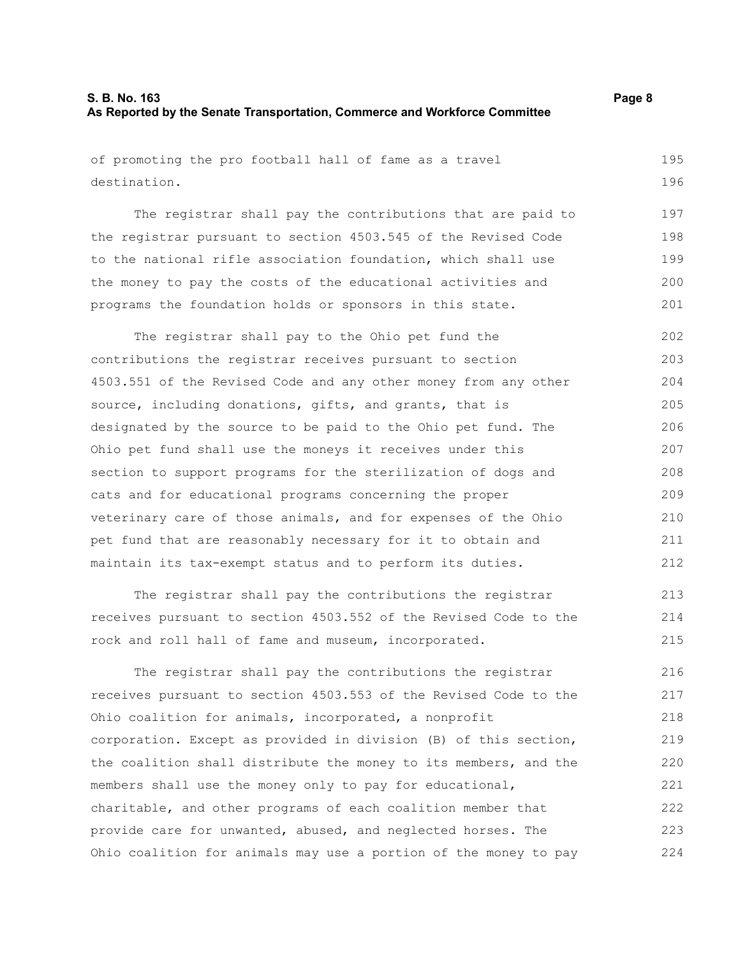# **S. B. No. 163 Page 8 As Reported by the Senate Transportation, Commerce and Workforce Committee**

of promoting the pro football hall of fame as a travel destination. 195 196

The registrar shall pay the contributions that are paid to the registrar pursuant to section 4503.545 of the Revised Code to the national rifle association foundation, which shall use the money to pay the costs of the educational activities and programs the foundation holds or sponsors in this state. 197 198 199 200 201

The registrar shall pay to the Ohio pet fund the contributions the registrar receives pursuant to section 4503.551 of the Revised Code and any other money from any other source, including donations, gifts, and grants, that is designated by the source to be paid to the Ohio pet fund. The Ohio pet fund shall use the moneys it receives under this section to support programs for the sterilization of dogs and cats and for educational programs concerning the proper veterinary care of those animals, and for expenses of the Ohio pet fund that are reasonably necessary for it to obtain and maintain its tax-exempt status and to perform its duties. 202 203 204 205 206 207 208 209 210 211 212

The registrar shall pay the contributions the registrar receives pursuant to section 4503.552 of the Revised Code to the rock and roll hall of fame and museum, incorporated. 213 214 215

The registrar shall pay the contributions the registrar receives pursuant to section 4503.553 of the Revised Code to the Ohio coalition for animals, incorporated, a nonprofit corporation. Except as provided in division (B) of this section, the coalition shall distribute the money to its members, and the members shall use the money only to pay for educational, charitable, and other programs of each coalition member that provide care for unwanted, abused, and neglected horses. The Ohio coalition for animals may use a portion of the money to pay 216 217 218 219 220 221 222 223 224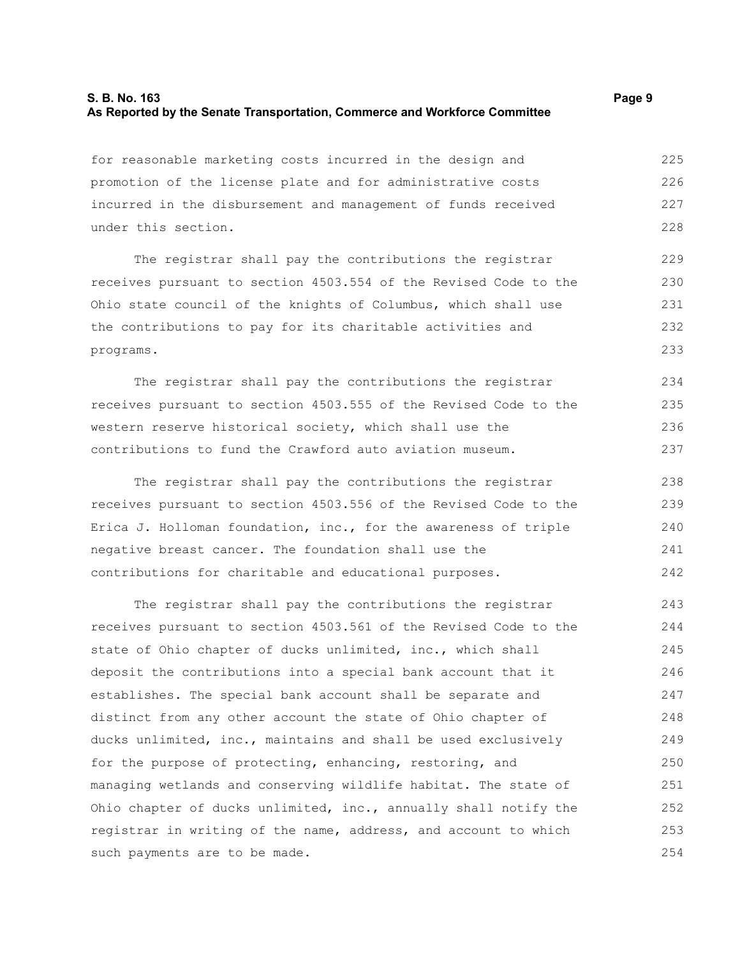# **S. B. No. 163 Page 9 As Reported by the Senate Transportation, Commerce and Workforce Committee**

for reasonable marketing costs incurred in the design and promotion of the license plate and for administrative costs incurred in the disbursement and management of funds received under this section. 225 226 227 228

The registrar shall pay the contributions the registrar receives pursuant to section 4503.554 of the Revised Code to the Ohio state council of the knights of Columbus, which shall use the contributions to pay for its charitable activities and programs. 229 230 231 232 233

The registrar shall pay the contributions the registrar receives pursuant to section 4503.555 of the Revised Code to the western reserve historical society, which shall use the contributions to fund the Crawford auto aviation museum. 234 235 236 237

The registrar shall pay the contributions the registrar receives pursuant to section 4503.556 of the Revised Code to the Erica J. Holloman foundation, inc., for the awareness of triple negative breast cancer. The foundation shall use the contributions for charitable and educational purposes. 238 239 240 241 242

The registrar shall pay the contributions the registrar receives pursuant to section 4503.561 of the Revised Code to the state of Ohio chapter of ducks unlimited, inc., which shall deposit the contributions into a special bank account that it establishes. The special bank account shall be separate and distinct from any other account the state of Ohio chapter of ducks unlimited, inc., maintains and shall be used exclusively for the purpose of protecting, enhancing, restoring, and managing wetlands and conserving wildlife habitat. The state of Ohio chapter of ducks unlimited, inc., annually shall notify the registrar in writing of the name, address, and account to which such payments are to be made. 243 244 245 246 247 248 249 250 251 252 253 254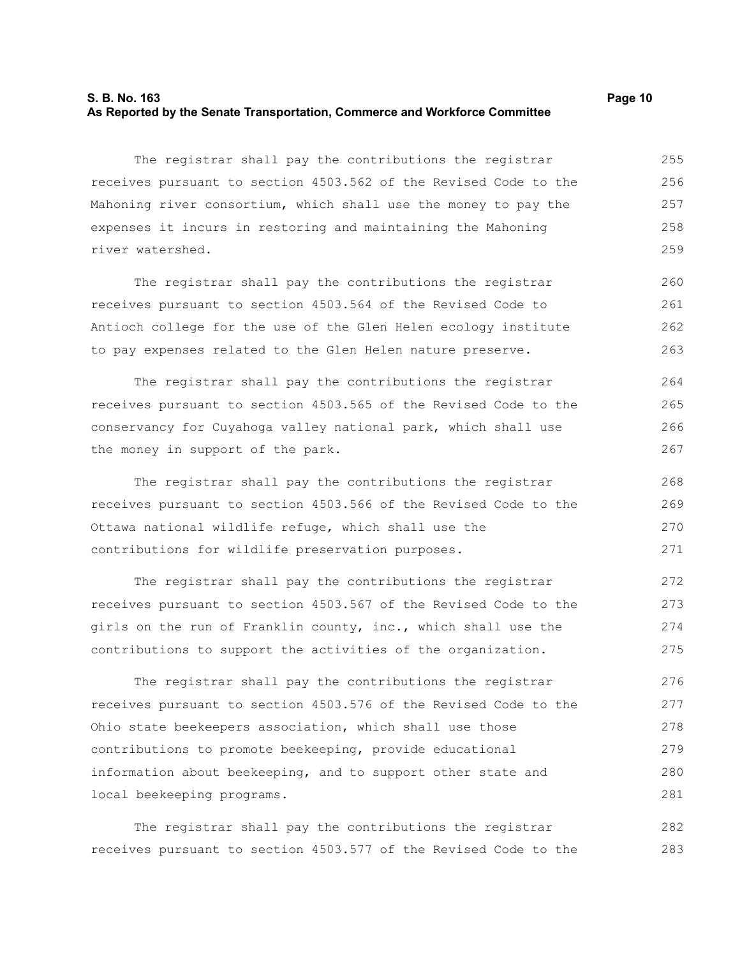#### **S. B. No. 163 Page 10 As Reported by the Senate Transportation, Commerce and Workforce Committee**

The registrar shall pay the contributions the registrar receives pursuant to section 4503.562 of the Revised Code to the Mahoning river consortium, which shall use the money to pay the expenses it incurs in restoring and maintaining the Mahoning river watershed. 255 256 257 258 259

The registrar shall pay the contributions the registrar receives pursuant to section 4503.564 of the Revised Code to Antioch college for the use of the Glen Helen ecology institute to pay expenses related to the Glen Helen nature preserve. 260 261 262 263

The registrar shall pay the contributions the registrar receives pursuant to section 4503.565 of the Revised Code to the conservancy for Cuyahoga valley national park, which shall use the money in support of the park. 264 265 266 267

The registrar shall pay the contributions the registrar receives pursuant to section 4503.566 of the Revised Code to the Ottawa national wildlife refuge, which shall use the contributions for wildlife preservation purposes.

The registrar shall pay the contributions the registrar receives pursuant to section 4503.567 of the Revised Code to the girls on the run of Franklin county, inc., which shall use the contributions to support the activities of the organization. 272 273 274 275

The registrar shall pay the contributions the registrar receives pursuant to section 4503.576 of the Revised Code to the Ohio state beekeepers association, which shall use those contributions to promote beekeeping, provide educational information about beekeeping, and to support other state and local beekeeping programs. 276 277 278 279 280 281

The registrar shall pay the contributions the registrar receives pursuant to section 4503.577 of the Revised Code to the 282 283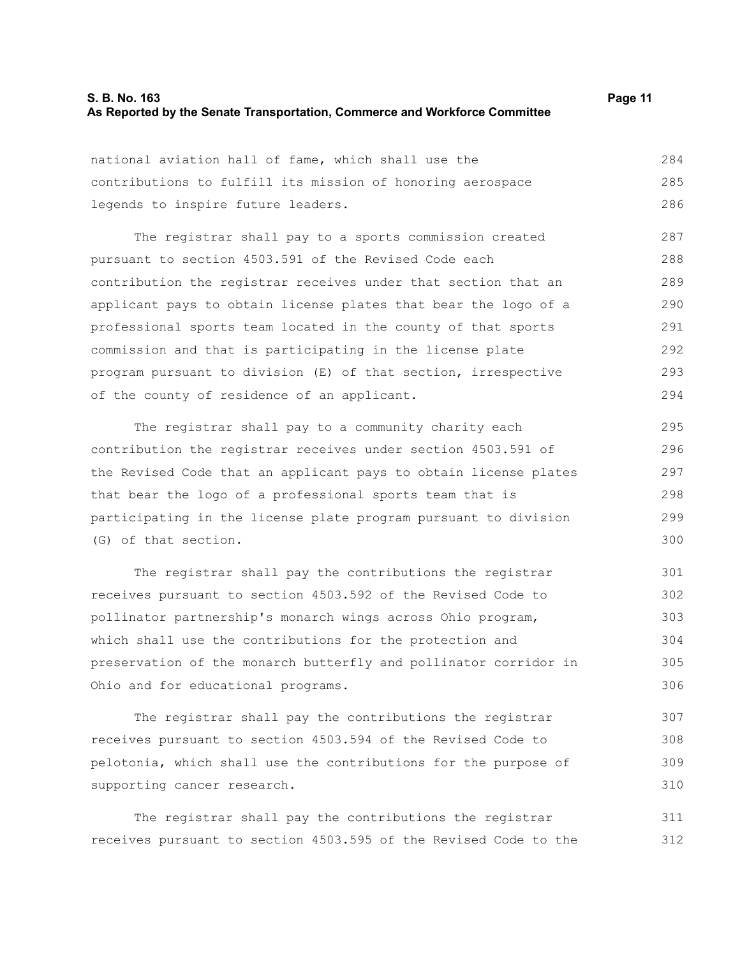### **S. B. No. 163 Page 11 As Reported by the Senate Transportation, Commerce and Workforce Committee**

national aviation hall of fame, which shall use the contributions to fulfill its mission of honoring aerospace legends to inspire future leaders. 284 285 286

The registrar shall pay to a sports commission created pursuant to section 4503.591 of the Revised Code each contribution the registrar receives under that section that an applicant pays to obtain license plates that bear the logo of a professional sports team located in the county of that sports commission and that is participating in the license plate program pursuant to division (E) of that section, irrespective of the county of residence of an applicant. 287 288 289 290 291 292 293 294

The registrar shall pay to a community charity each contribution the registrar receives under section 4503.591 of the Revised Code that an applicant pays to obtain license plates that bear the logo of a professional sports team that is participating in the license plate program pursuant to division (G) of that section. 295 296 297 298 299 300

The registrar shall pay the contributions the registrar receives pursuant to section 4503.592 of the Revised Code to pollinator partnership's monarch wings across Ohio program, which shall use the contributions for the protection and preservation of the monarch butterfly and pollinator corridor in Ohio and for educational programs. 301 302 303 304 305 306

The registrar shall pay the contributions the registrar receives pursuant to section 4503.594 of the Revised Code to pelotonia, which shall use the contributions for the purpose of supporting cancer research. 307 308 309 310

The registrar shall pay the contributions the registrar receives pursuant to section 4503.595 of the Revised Code to the 311 312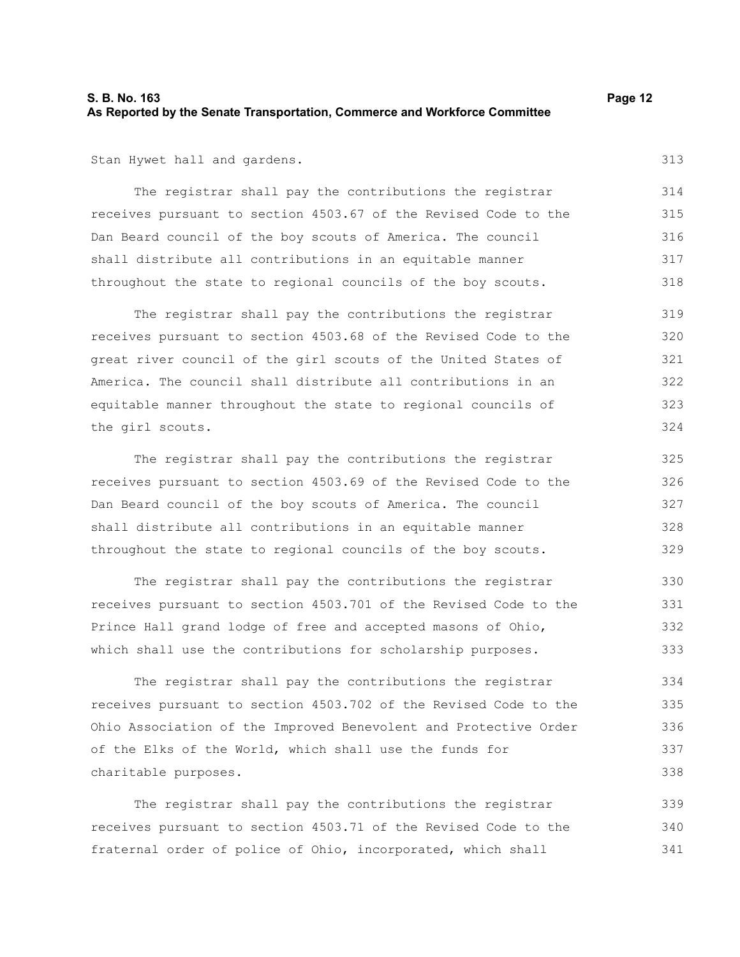# **S. B. No. 163 Page 12 As Reported by the Senate Transportation, Commerce and Workforce Committee**

Stan Hywet hall and gardens.

The registrar shall pay the contributions the registrar receives pursuant to section 4503.67 of the Revised Code to the Dan Beard council of the boy scouts of America. The council shall distribute all contributions in an equitable manner throughout the state to regional councils of the boy scouts. 314 316 317 318

The registrar shall pay the contributions the registrar receives pursuant to section 4503.68 of the Revised Code to the great river council of the girl scouts of the United States of America. The council shall distribute all contributions in an equitable manner throughout the state to regional councils of the girl scouts. 319 320 321 322 323 324

The registrar shall pay the contributions the registrar receives pursuant to section 4503.69 of the Revised Code to the Dan Beard council of the boy scouts of America. The council shall distribute all contributions in an equitable manner throughout the state to regional councils of the boy scouts. 325 326 327 328 329

The registrar shall pay the contributions the registrar receives pursuant to section 4503.701 of the Revised Code to the Prince Hall grand lodge of free and accepted masons of Ohio, which shall use the contributions for scholarship purposes. 330 331 332 333

The registrar shall pay the contributions the registrar receives pursuant to section 4503.702 of the Revised Code to the Ohio Association of the Improved Benevolent and Protective Order of the Elks of the World, which shall use the funds for charitable purposes.

The registrar shall pay the contributions the registrar receives pursuant to section 4503.71 of the Revised Code to the fraternal order of police of Ohio, incorporated, which shall 339 340 341

315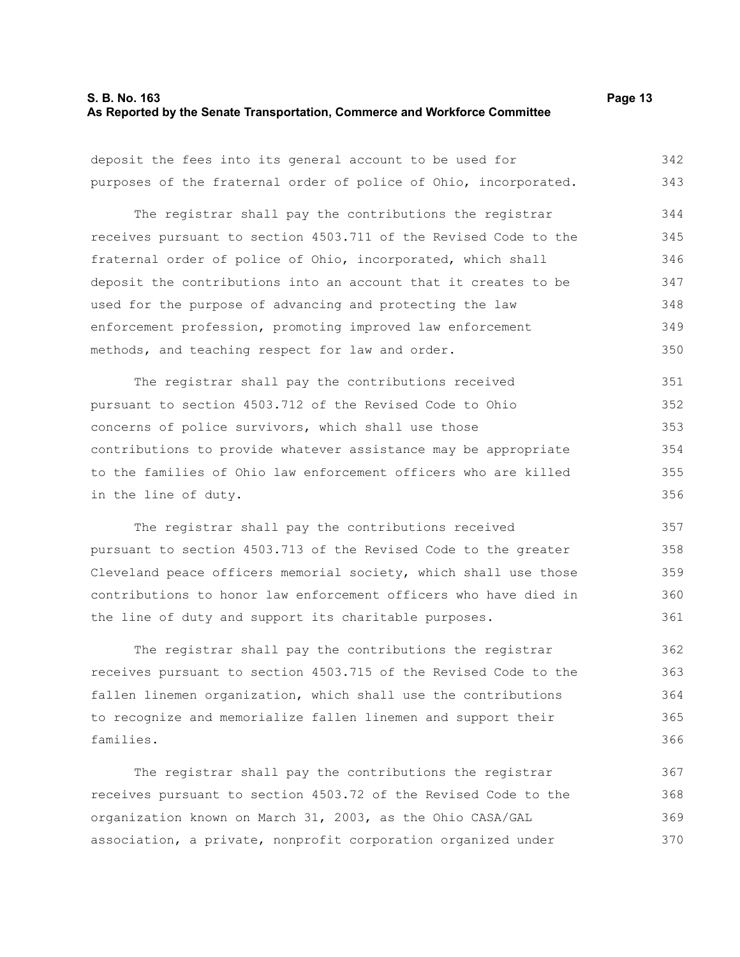#### **S. B. No. 163 Page 13 As Reported by the Senate Transportation, Commerce and Workforce Committee**

deposit the fees into its general account to be used for purposes of the fraternal order of police of Ohio, incorporated. 342 343

The registrar shall pay the contributions the registrar receives pursuant to section 4503.711 of the Revised Code to the fraternal order of police of Ohio, incorporated, which shall deposit the contributions into an account that it creates to be used for the purpose of advancing and protecting the law enforcement profession, promoting improved law enforcement methods, and teaching respect for law and order. 344 345 346 347 348 349 350

The registrar shall pay the contributions received pursuant to section 4503.712 of the Revised Code to Ohio concerns of police survivors, which shall use those contributions to provide whatever assistance may be appropriate to the families of Ohio law enforcement officers who are killed in the line of duty. 351 352 353 354 355 356

The registrar shall pay the contributions received pursuant to section 4503.713 of the Revised Code to the greater Cleveland peace officers memorial society, which shall use those contributions to honor law enforcement officers who have died in the line of duty and support its charitable purposes. 357 358 359 360 361

The registrar shall pay the contributions the registrar receives pursuant to section 4503.715 of the Revised Code to the fallen linemen organization, which shall use the contributions to recognize and memorialize fallen linemen and support their families.

The registrar shall pay the contributions the registrar receives pursuant to section 4503.72 of the Revised Code to the organization known on March 31, 2003, as the Ohio CASA/GAL association, a private, nonprofit corporation organized under 367 368 369 370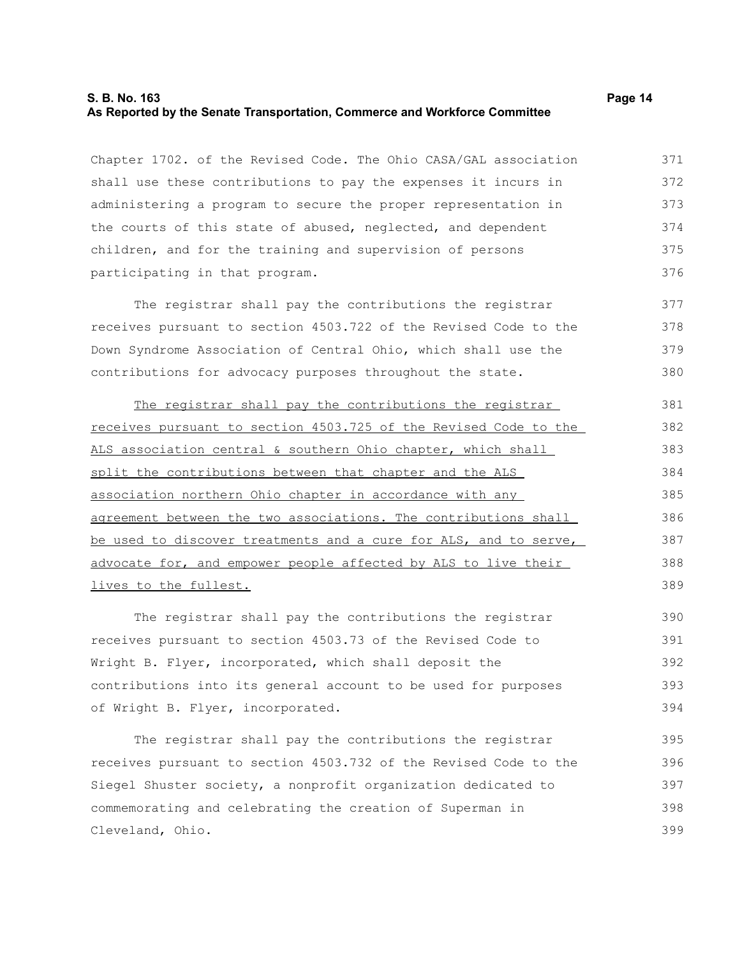#### **S. B. No. 163 Page 14 As Reported by the Senate Transportation, Commerce and Workforce Committee**

Chapter 1702. of the Revised Code. The Ohio CASA/GAL association shall use these contributions to pay the expenses it incurs in administering a program to secure the proper representation in the courts of this state of abused, neglected, and dependent children, and for the training and supervision of persons participating in that program. 371 372 373 374 375 376

The registrar shall pay the contributions the registrar receives pursuant to section 4503.722 of the Revised Code to the Down Syndrome Association of Central Ohio, which shall use the contributions for advocacy purposes throughout the state. 377 378 379 380

The registrar shall pay the contributions the registrar receives pursuant to section 4503.725 of the Revised Code to the ALS association central & southern Ohio chapter, which shall split the contributions between that chapter and the ALS association northern Ohio chapter in accordance with any agreement between the two associations. The contributions shall be used to discover treatments and a cure for ALS, and to serve, advocate for, and empower people affected by ALS to live their lives to the fullest. 381 382 383 384 385 386 387 388 389

The registrar shall pay the contributions the registrar receives pursuant to section 4503.73 of the Revised Code to Wright B. Flyer, incorporated, which shall deposit the contributions into its general account to be used for purposes of Wright B. Flyer, incorporated. 390 391 392 393 394

The registrar shall pay the contributions the registrar receives pursuant to section 4503.732 of the Revised Code to the Siegel Shuster society, a nonprofit organization dedicated to commemorating and celebrating the creation of Superman in Cleveland, Ohio. 395 396 397 398 399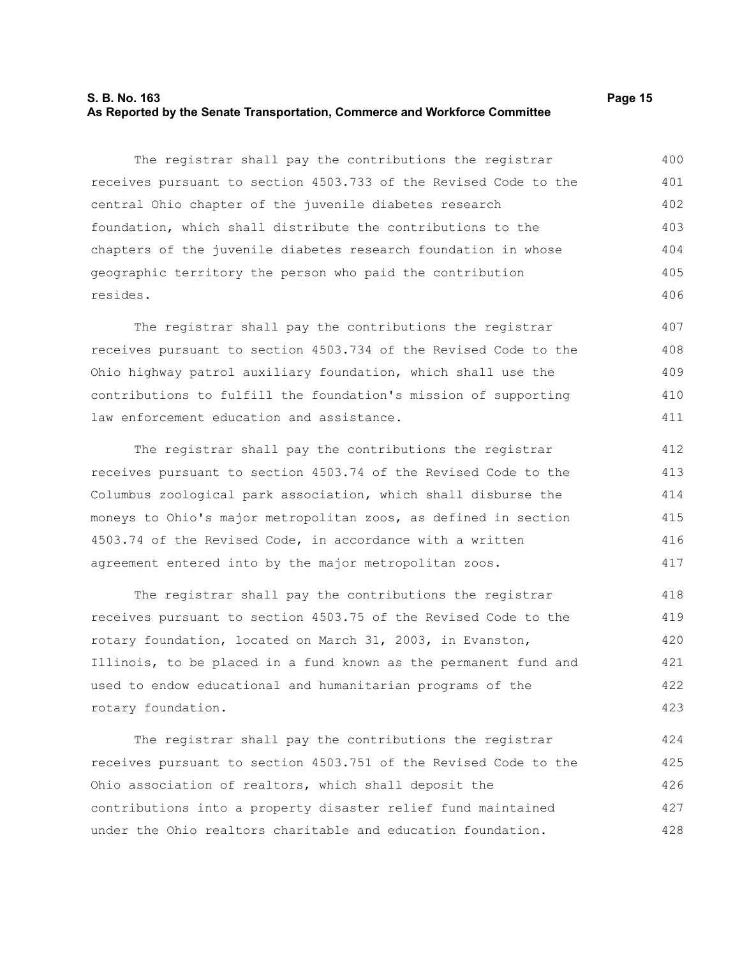#### **S. B. No. 163 Page 15 As Reported by the Senate Transportation, Commerce and Workforce Committee**

The registrar shall pay the contributions the registrar receives pursuant to section 4503.733 of the Revised Code to the central Ohio chapter of the juvenile diabetes research foundation, which shall distribute the contributions to the chapters of the juvenile diabetes research foundation in whose geographic territory the person who paid the contribution resides. 400 401 402 403 404 405 406

The registrar shall pay the contributions the registrar receives pursuant to section 4503.734 of the Revised Code to the Ohio highway patrol auxiliary foundation, which shall use the contributions to fulfill the foundation's mission of supporting law enforcement education and assistance. 407 408 409 410 411

The registrar shall pay the contributions the registrar receives pursuant to section 4503.74 of the Revised Code to the Columbus zoological park association, which shall disburse the moneys to Ohio's major metropolitan zoos, as defined in section 4503.74 of the Revised Code, in accordance with a written agreement entered into by the major metropolitan zoos. 412 413 414 415 416 417

The registrar shall pay the contributions the registrar receives pursuant to section 4503.75 of the Revised Code to the rotary foundation, located on March 31, 2003, in Evanston, Illinois, to be placed in a fund known as the permanent fund and used to endow educational and humanitarian programs of the rotary foundation. 418 419 420 421 422 423

The registrar shall pay the contributions the registrar receives pursuant to section 4503.751 of the Revised Code to the Ohio association of realtors, which shall deposit the contributions into a property disaster relief fund maintained under the Ohio realtors charitable and education foundation. 424 425 426 427 428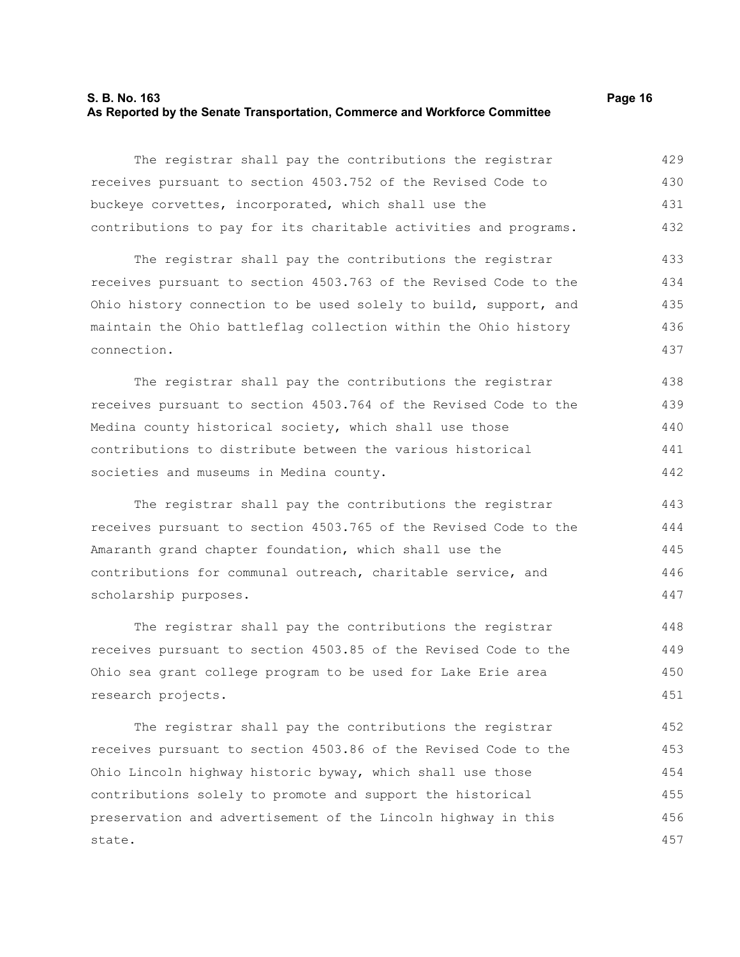#### **S. B. No. 163 Page 16 As Reported by the Senate Transportation, Commerce and Workforce Committee**

The registrar shall pay the contributions the registrar receives pursuant to section 4503.752 of the Revised Code to buckeye corvettes, incorporated, which shall use the contributions to pay for its charitable activities and programs. 429 430 431 432

The registrar shall pay the contributions the registrar receives pursuant to section 4503.763 of the Revised Code to the Ohio history connection to be used solely to build, support, and maintain the Ohio battleflag collection within the Ohio history connection. 433 434 435 436 437

The registrar shall pay the contributions the registrar receives pursuant to section 4503.764 of the Revised Code to the Medina county historical society, which shall use those contributions to distribute between the various historical societies and museums in Medina county. 438 439 440 441 442

The registrar shall pay the contributions the registrar receives pursuant to section 4503.765 of the Revised Code to the Amaranth grand chapter foundation, which shall use the contributions for communal outreach, charitable service, and scholarship purposes.

The registrar shall pay the contributions the registrar receives pursuant to section 4503.85 of the Revised Code to the Ohio sea grant college program to be used for Lake Erie area research projects. 448 449 450 451

The registrar shall pay the contributions the registrar receives pursuant to section 4503.86 of the Revised Code to the Ohio Lincoln highway historic byway, which shall use those contributions solely to promote and support the historical preservation and advertisement of the Lincoln highway in this state. 452 453 454 455 456 457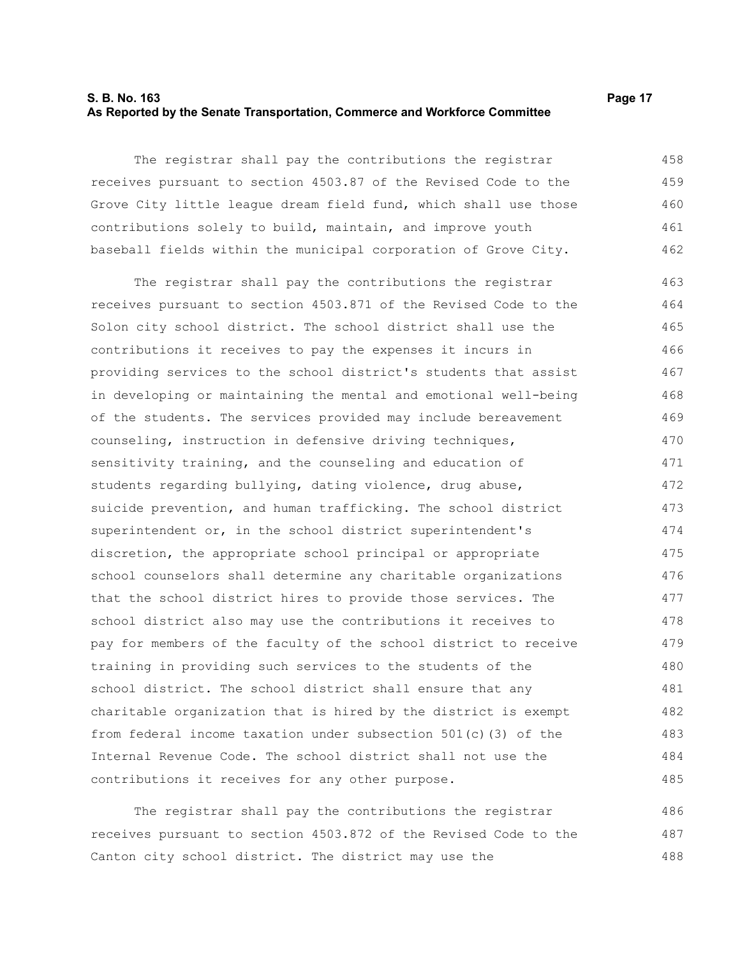#### **S. B. No. 163 Page 17 As Reported by the Senate Transportation, Commerce and Workforce Committee**

The registrar shall pay the contributions the registrar receives pursuant to section 4503.87 of the Revised Code to the Grove City little league dream field fund, which shall use those contributions solely to build, maintain, and improve youth baseball fields within the municipal corporation of Grove City. 458 459 460 461 462

The registrar shall pay the contributions the registrar receives pursuant to section 4503.871 of the Revised Code to the Solon city school district. The school district shall use the contributions it receives to pay the expenses it incurs in providing services to the school district's students that assist in developing or maintaining the mental and emotional well-being of the students. The services provided may include bereavement counseling, instruction in defensive driving techniques, sensitivity training, and the counseling and education of students regarding bullying, dating violence, drug abuse, suicide prevention, and human trafficking. The school district superintendent or, in the school district superintendent's discretion, the appropriate school principal or appropriate school counselors shall determine any charitable organizations that the school district hires to provide those services. The school district also may use the contributions it receives to pay for members of the faculty of the school district to receive training in providing such services to the students of the school district. The school district shall ensure that any charitable organization that is hired by the district is exempt from federal income taxation under subsection 501(c)(3) of the Internal Revenue Code. The school district shall not use the contributions it receives for any other purpose. 463 464 465 466 467 468 469 470 471 472 473 474 475 476 477 478 479 480 481 482 483 484 485

The registrar shall pay the contributions the registrar receives pursuant to section 4503.872 of the Revised Code to the Canton city school district. The district may use the 486 487 488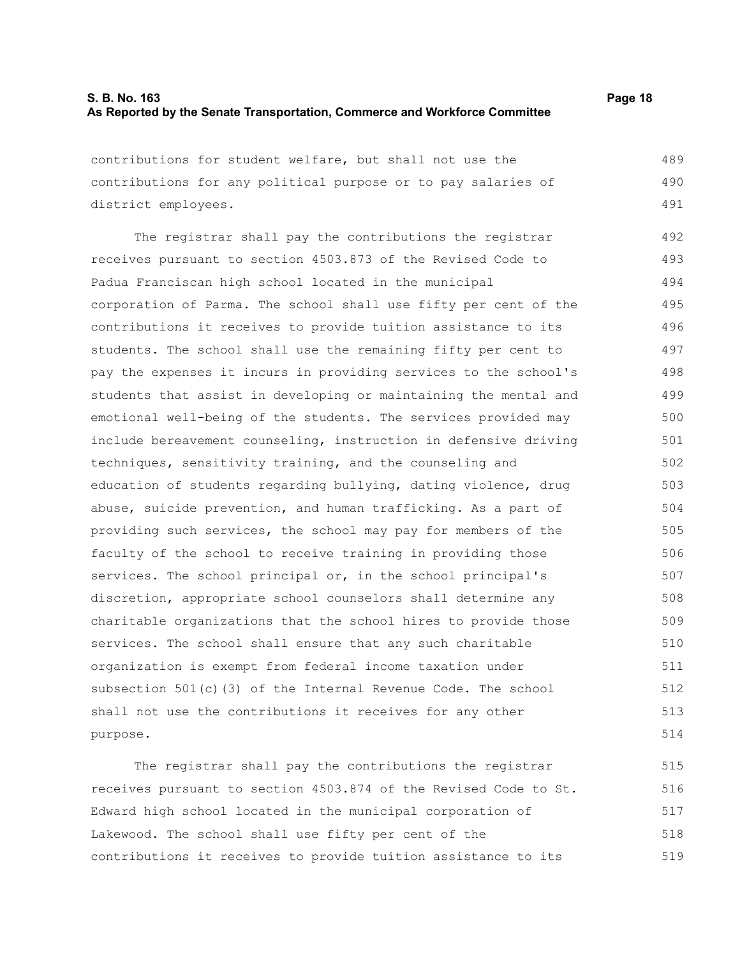contributions for student welfare, but shall not use the contributions for any political purpose or to pay salaries of district employees. 489 490 491

The registrar shall pay the contributions the registrar receives pursuant to section 4503.873 of the Revised Code to Padua Franciscan high school located in the municipal corporation of Parma. The school shall use fifty per cent of the contributions it receives to provide tuition assistance to its students. The school shall use the remaining fifty per cent to pay the expenses it incurs in providing services to the school's students that assist in developing or maintaining the mental and emotional well-being of the students. The services provided may include bereavement counseling, instruction in defensive driving techniques, sensitivity training, and the counseling and education of students regarding bullying, dating violence, drug abuse, suicide prevention, and human trafficking. As a part of providing such services, the school may pay for members of the faculty of the school to receive training in providing those services. The school principal or, in the school principal's discretion, appropriate school counselors shall determine any charitable organizations that the school hires to provide those services. The school shall ensure that any such charitable organization is exempt from federal income taxation under subsection 501(c)(3) of the Internal Revenue Code. The school shall not use the contributions it receives for any other purpose. 492 493 494 495 496 497 498 499 500 501 502 503 504 505 506 507 508 509 510 511 512 513 514

The registrar shall pay the contributions the registrar receives pursuant to section 4503.874 of the Revised Code to St. Edward high school located in the municipal corporation of Lakewood. The school shall use fifty per cent of the contributions it receives to provide tuition assistance to its 515 516 517 518 519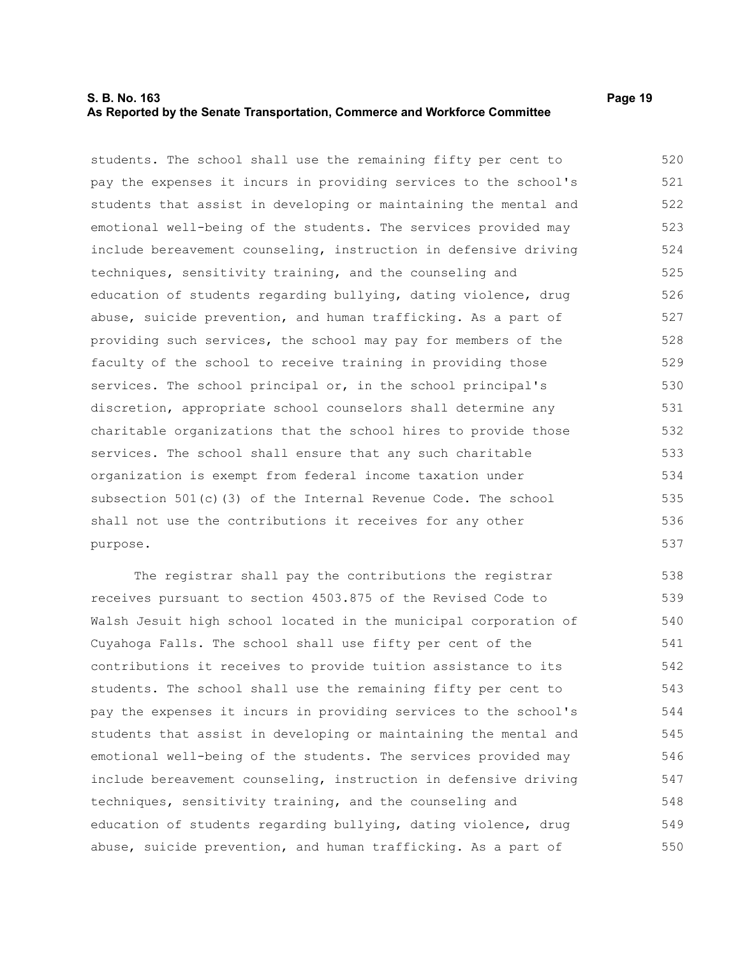#### **S. B. No. 163 Page 19 As Reported by the Senate Transportation, Commerce and Workforce Committee**

students. The school shall use the remaining fifty per cent to pay the expenses it incurs in providing services to the school's students that assist in developing or maintaining the mental and emotional well-being of the students. The services provided may include bereavement counseling, instruction in defensive driving techniques, sensitivity training, and the counseling and education of students regarding bullying, dating violence, drug abuse, suicide prevention, and human trafficking. As a part of providing such services, the school may pay for members of the faculty of the school to receive training in providing those services. The school principal or, in the school principal's discretion, appropriate school counselors shall determine any charitable organizations that the school hires to provide those services. The school shall ensure that any such charitable organization is exempt from federal income taxation under subsection 501(c)(3) of the Internal Revenue Code. The school shall not use the contributions it receives for any other purpose. 520 521 522 523 524 525 526 527 528 529 530 531 532 533 534 535 536 537

The registrar shall pay the contributions the registrar receives pursuant to section 4503.875 of the Revised Code to Walsh Jesuit high school located in the municipal corporation of Cuyahoga Falls. The school shall use fifty per cent of the contributions it receives to provide tuition assistance to its students. The school shall use the remaining fifty per cent to pay the expenses it incurs in providing services to the school's students that assist in developing or maintaining the mental and emotional well-being of the students. The services provided may include bereavement counseling, instruction in defensive driving techniques, sensitivity training, and the counseling and education of students regarding bullying, dating violence, drug abuse, suicide prevention, and human trafficking. As a part of 538 539 540 541 542 543 544 545 546 547 548 549 550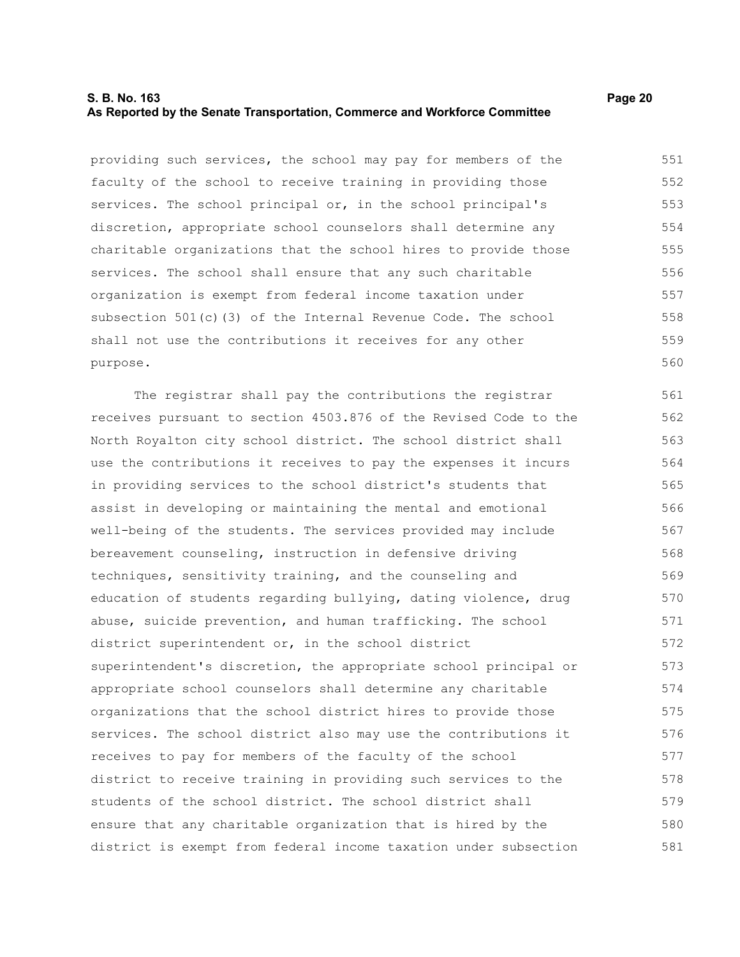#### **S. B. No. 163 Page 20 As Reported by the Senate Transportation, Commerce and Workforce Committee**

providing such services, the school may pay for members of the faculty of the school to receive training in providing those services. The school principal or, in the school principal's discretion, appropriate school counselors shall determine any charitable organizations that the school hires to provide those services. The school shall ensure that any such charitable organization is exempt from federal income taxation under subsection 501(c)(3) of the Internal Revenue Code. The school shall not use the contributions it receives for any other purpose. 551 552 553 554 555 556 557 558 559 560

The registrar shall pay the contributions the registrar receives pursuant to section 4503.876 of the Revised Code to the North Royalton city school district. The school district shall use the contributions it receives to pay the expenses it incurs in providing services to the school district's students that assist in developing or maintaining the mental and emotional well-being of the students. The services provided may include bereavement counseling, instruction in defensive driving techniques, sensitivity training, and the counseling and education of students regarding bullying, dating violence, drug abuse, suicide prevention, and human trafficking. The school district superintendent or, in the school district superintendent's discretion, the appropriate school principal or appropriate school counselors shall determine any charitable organizations that the school district hires to provide those services. The school district also may use the contributions it receives to pay for members of the faculty of the school district to receive training in providing such services to the students of the school district. The school district shall ensure that any charitable organization that is hired by the district is exempt from federal income taxation under subsection 561 562 563 564 565 566 567 568 569 570 571 572 573 574 575 576 577 578 579 580 581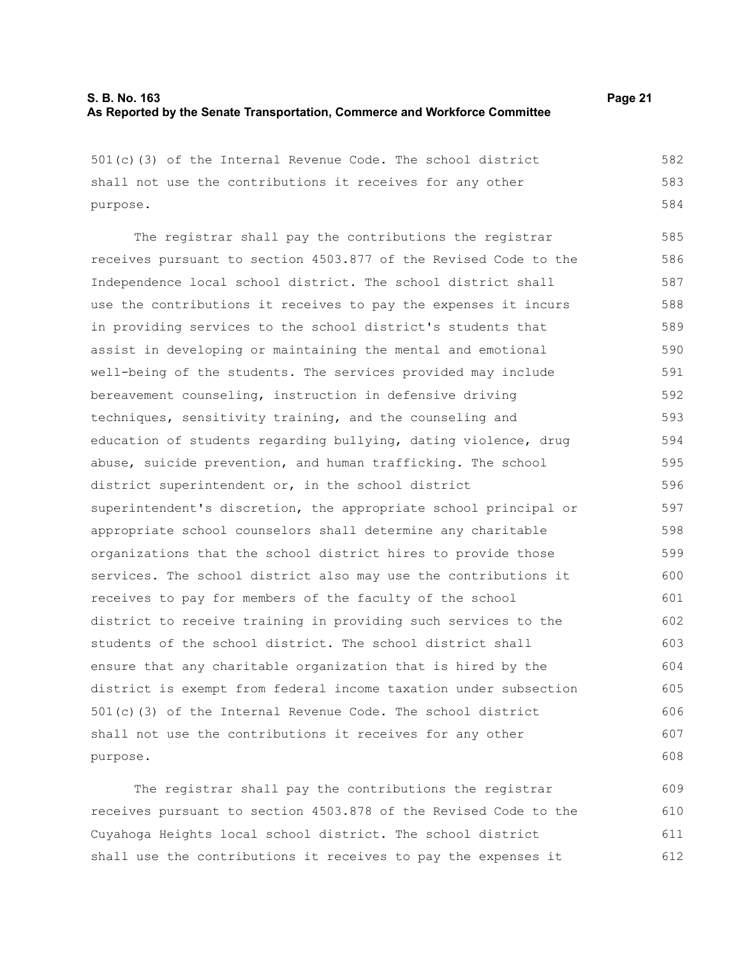501(c)(3) of the Internal Revenue Code. The school district shall not use the contributions it receives for any other purpose. The registrar shall pay the contributions the registrar receives pursuant to section 4503.877 of the Revised Code to the Independence local school district. The school district shall use the contributions it receives to pay the expenses it incurs in providing services to the school district's students that assist in developing or maintaining the mental and emotional well-being of the students. The services provided may include bereavement counseling, instruction in defensive driving techniques, sensitivity training, and the counseling and education of students regarding bullying, dating violence, drug abuse, suicide prevention, and human trafficking. The school district superintendent or, in the school district superintendent's discretion, the appropriate school principal or appropriate school counselors shall determine any charitable organizations that the school district hires to provide those services. The school district also may use the contributions it receives to pay for members of the faculty of the school district to receive training in providing such services to the students of the school district. The school district shall ensure that any charitable organization that is hired by the district is exempt from federal income taxation under subsection 501(c)(3) of the Internal Revenue Code. The school district shall not use the contributions it receives for any other purpose. The registrar shall pay the contributions the registrar 582 583 584 585 586 587 588 589 590 591 592 593 594 595 596 597 598 599 600 601 602 603 604 605 606 607 608 609

receives pursuant to section 4503.878 of the Revised Code to the Cuyahoga Heights local school district. The school district shall use the contributions it receives to pay the expenses it 610 611 612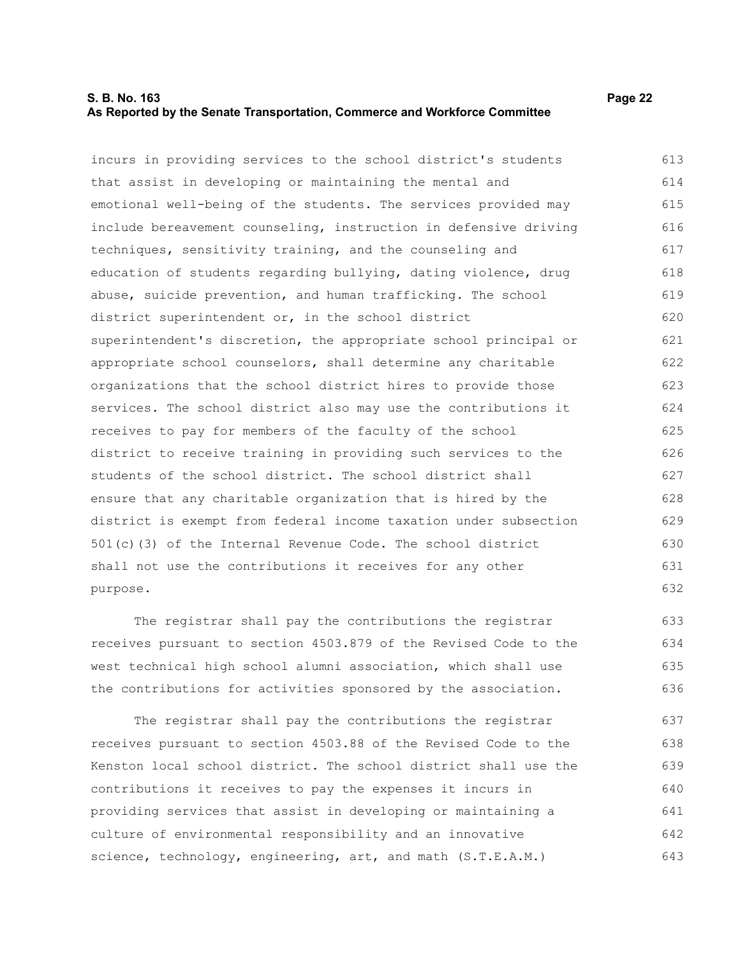#### **S. B. No. 163 Page 22 As Reported by the Senate Transportation, Commerce and Workforce Committee**

incurs in providing services to the school district's students that assist in developing or maintaining the mental and emotional well-being of the students. The services provided may

include bereavement counseling, instruction in defensive driving techniques, sensitivity training, and the counseling and education of students regarding bullying, dating violence, drug abuse, suicide prevention, and human trafficking. The school district superintendent or, in the school district superintendent's discretion, the appropriate school principal or appropriate school counselors, shall determine any charitable organizations that the school district hires to provide those services. The school district also may use the contributions it receives to pay for members of the faculty of the school district to receive training in providing such services to the students of the school district. The school district shall ensure that any charitable organization that is hired by the district is exempt from federal income taxation under subsection 501(c)(3) of the Internal Revenue Code. The school district shall not use the contributions it receives for any other purpose. 616 617 618 619 620 621 622 623 624 625 626 627 628 629 630 631 632

The registrar shall pay the contributions the registrar receives pursuant to section 4503.879 of the Revised Code to the west technical high school alumni association, which shall use the contributions for activities sponsored by the association. 633 634 635 636

The registrar shall pay the contributions the registrar receives pursuant to section 4503.88 of the Revised Code to the Kenston local school district. The school district shall use the contributions it receives to pay the expenses it incurs in providing services that assist in developing or maintaining a culture of environmental responsibility and an innovative science, technology, engineering, art, and math (S.T.E.A.M.) 637 638 639 640 641 642 643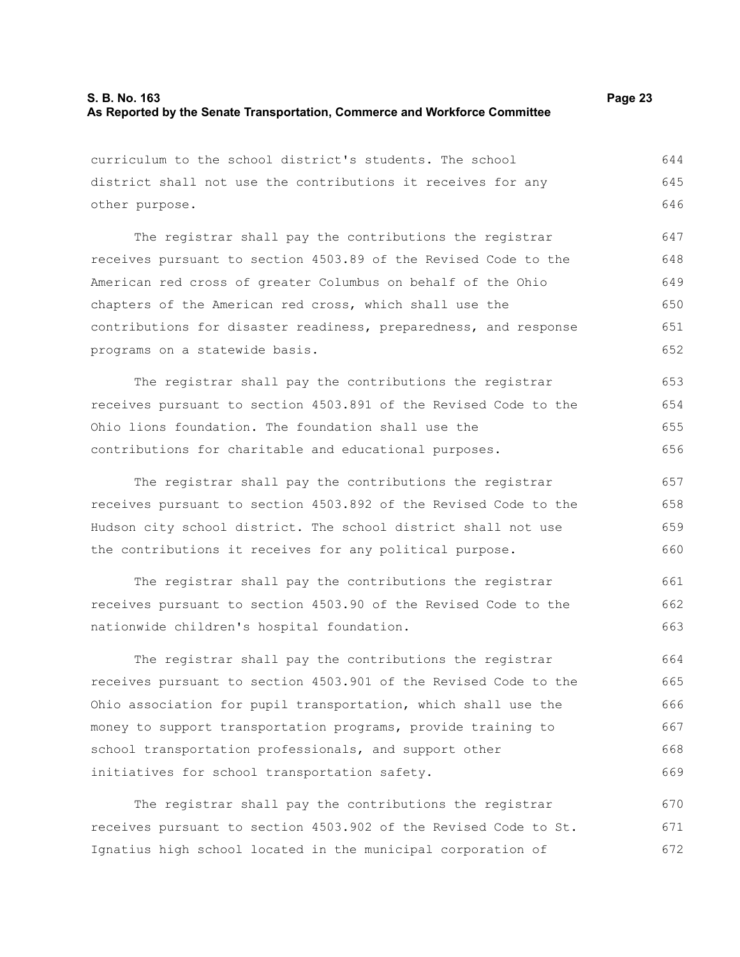| curriculum to the school district's students. The school         | 644 |
|------------------------------------------------------------------|-----|
| district shall not use the contributions it receives for any     |     |
| other purpose.                                                   |     |
| The registrar shall pay the contributions the registrar          | 647 |
| receives pursuant to section 4503.89 of the Revised Code to the  | 648 |
| American red cross of greater Columbus on behalf of the Ohio     | 649 |
| chapters of the American red cross, which shall use the          | 650 |
| contributions for disaster readiness, preparedness, and response | 651 |
| programs on a statewide basis.                                   | 652 |
| The registrar shall pay the contributions the registrar          | 653 |
| receives pursuant to section 4503.891 of the Revised Code to the | 654 |
| Ohio lions foundation. The foundation shall use the              | 655 |
| contributions for charitable and educational purposes.           | 656 |
| The registrar shall pay the contributions the registrar          | 657 |
| receives pursuant to section 4503.892 of the Revised Code to the | 658 |
| Hudson city school district. The school district shall not use   | 659 |
| the contributions it receives for any political purpose.         | 660 |
| The registrar shall pay the contributions the registrar          | 661 |
| receives pursuant to section 4503.90 of the Revised Code to the  | 662 |
| nationwide children's hospital foundation.                       | 663 |
| The registrar shall pay the contributions the registrar          | 664 |
| receives pursuant to section 4503.901 of the Revised Code to the | 665 |
| Ohio association for pupil transportation, which shall use the   | 666 |
| money to support transportation programs, provide training to    | 667 |
| school transportation professionals, and support other           | 668 |
| initiatives for school transportation safety.                    |     |

The registrar shall pay the contributions the registrar receives pursuant to section 4503.902 of the Revised Code to St. Ignatius high school located in the municipal corporation of 670 671 672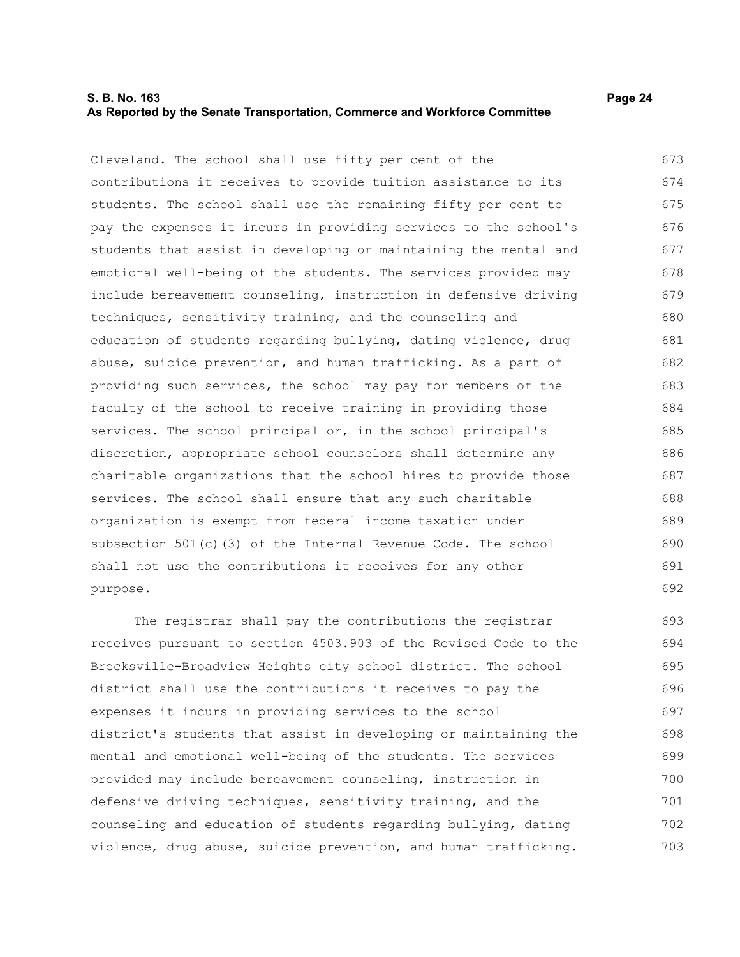## **S. B. No. 163 Page 24 As Reported by the Senate Transportation, Commerce and Workforce Committee**

Cleveland. The school shall use fifty per cent of the contributions it receives to provide tuition assistance to its students. The school shall use the remaining fifty per cent to pay the expenses it incurs in providing services to the school's students that assist in developing or maintaining the mental and emotional well-being of the students. The services provided may include bereavement counseling, instruction in defensive driving techniques, sensitivity training, and the counseling and education of students regarding bullying, dating violence, drug abuse, suicide prevention, and human trafficking. As a part of providing such services, the school may pay for members of the faculty of the school to receive training in providing those services. The school principal or, in the school principal's discretion, appropriate school counselors shall determine any charitable organizations that the school hires to provide those services. The school shall ensure that any such charitable organization is exempt from federal income taxation under subsection 501(c)(3) of the Internal Revenue Code. The school shall not use the contributions it receives for any other purpose. 673 674 675 676 677 678 679 680 681 682 683 684 685 686 687 688 689 690 691 692

The registrar shall pay the contributions the registrar receives pursuant to section 4503.903 of the Revised Code to the Brecksville-Broadview Heights city school district. The school district shall use the contributions it receives to pay the expenses it incurs in providing services to the school district's students that assist in developing or maintaining the mental and emotional well-being of the students. The services provided may include bereavement counseling, instruction in defensive driving techniques, sensitivity training, and the counseling and education of students regarding bullying, dating violence, drug abuse, suicide prevention, and human trafficking. 693 694 695 696 697 698 699 700 701 702 703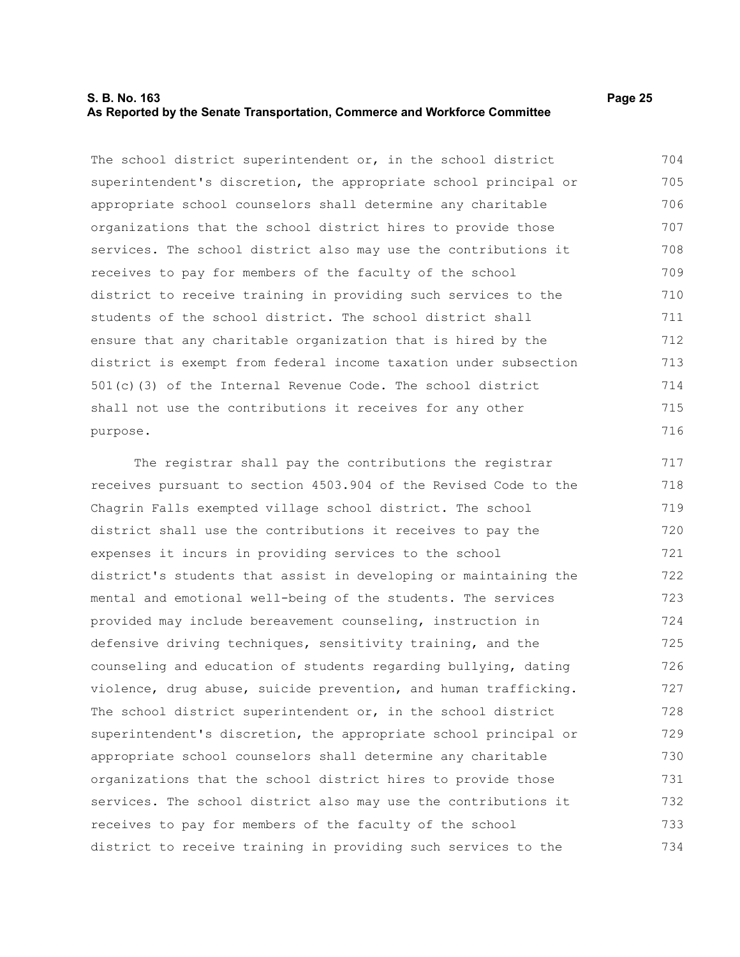#### **S. B. No. 163 Page 25 As Reported by the Senate Transportation, Commerce and Workforce Committee**

The school district superintendent or, in the school district superintendent's discretion, the appropriate school principal or appropriate school counselors shall determine any charitable organizations that the school district hires to provide those services. The school district also may use the contributions it receives to pay for members of the faculty of the school district to receive training in providing such services to the students of the school district. The school district shall ensure that any charitable organization that is hired by the district is exempt from federal income taxation under subsection 501(c)(3) of the Internal Revenue Code. The school district shall not use the contributions it receives for any other purpose. 704 705 706 707 708 709 710 711 712 713 714 715 716

The registrar shall pay the contributions the registrar receives pursuant to section 4503.904 of the Revised Code to the Chagrin Falls exempted village school district. The school district shall use the contributions it receives to pay the expenses it incurs in providing services to the school district's students that assist in developing or maintaining the mental and emotional well-being of the students. The services provided may include bereavement counseling, instruction in defensive driving techniques, sensitivity training, and the counseling and education of students regarding bullying, dating violence, drug abuse, suicide prevention, and human trafficking. The school district superintendent or, in the school district superintendent's discretion, the appropriate school principal or appropriate school counselors shall determine any charitable organizations that the school district hires to provide those services. The school district also may use the contributions it receives to pay for members of the faculty of the school district to receive training in providing such services to the 717 718 719 720 721 722 723 724 725 726 727 728 729 730 731 732 733 734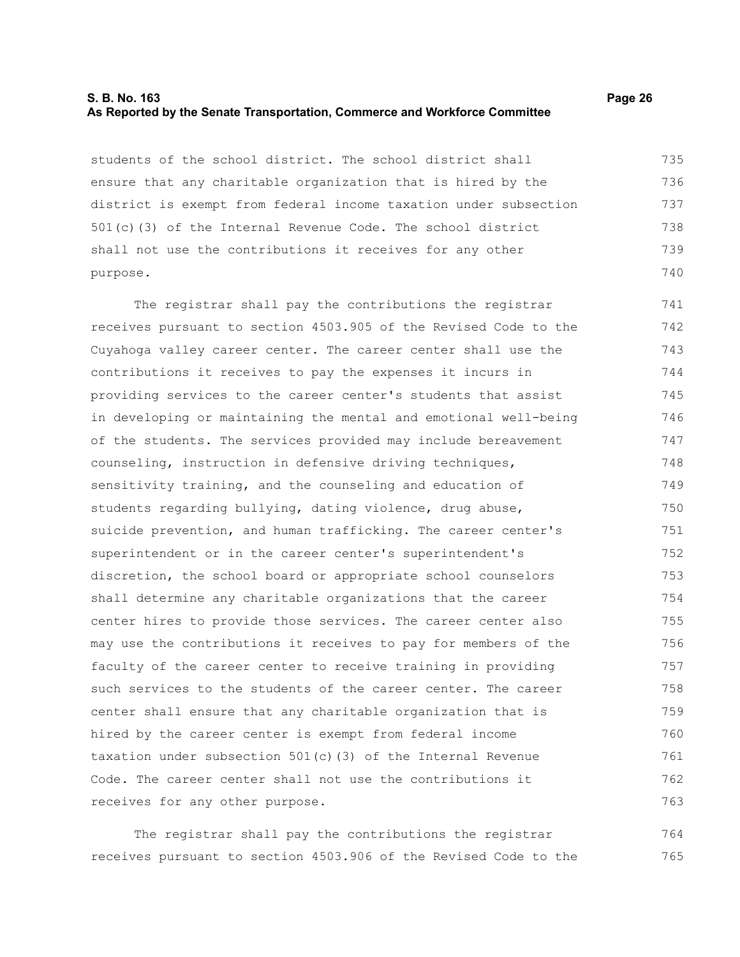#### **S. B. No. 163 Page 26 As Reported by the Senate Transportation, Commerce and Workforce Committee**

students of the school district. The school district shall ensure that any charitable organization that is hired by the district is exempt from federal income taxation under subsection 501(c)(3) of the Internal Revenue Code. The school district shall not use the contributions it receives for any other purpose. 735 736 737 738 739 740

The registrar shall pay the contributions the registrar receives pursuant to section 4503.905 of the Revised Code to the Cuyahoga valley career center. The career center shall use the contributions it receives to pay the expenses it incurs in providing services to the career center's students that assist in developing or maintaining the mental and emotional well-being of the students. The services provided may include bereavement counseling, instruction in defensive driving techniques, sensitivity training, and the counseling and education of students regarding bullying, dating violence, drug abuse, suicide prevention, and human trafficking. The career center's superintendent or in the career center's superintendent's discretion, the school board or appropriate school counselors shall determine any charitable organizations that the career center hires to provide those services. The career center also may use the contributions it receives to pay for members of the faculty of the career center to receive training in providing such services to the students of the career center. The career center shall ensure that any charitable organization that is hired by the career center is exempt from federal income taxation under subsection 501(c)(3) of the Internal Revenue Code. The career center shall not use the contributions it receives for any other purpose. 741 742 743 744 745 746 747 748 749 750 751 752 753 754 755 756 757 758 759 760 761 762 763

The registrar shall pay the contributions the registrar receives pursuant to section 4503.906 of the Revised Code to the 764 765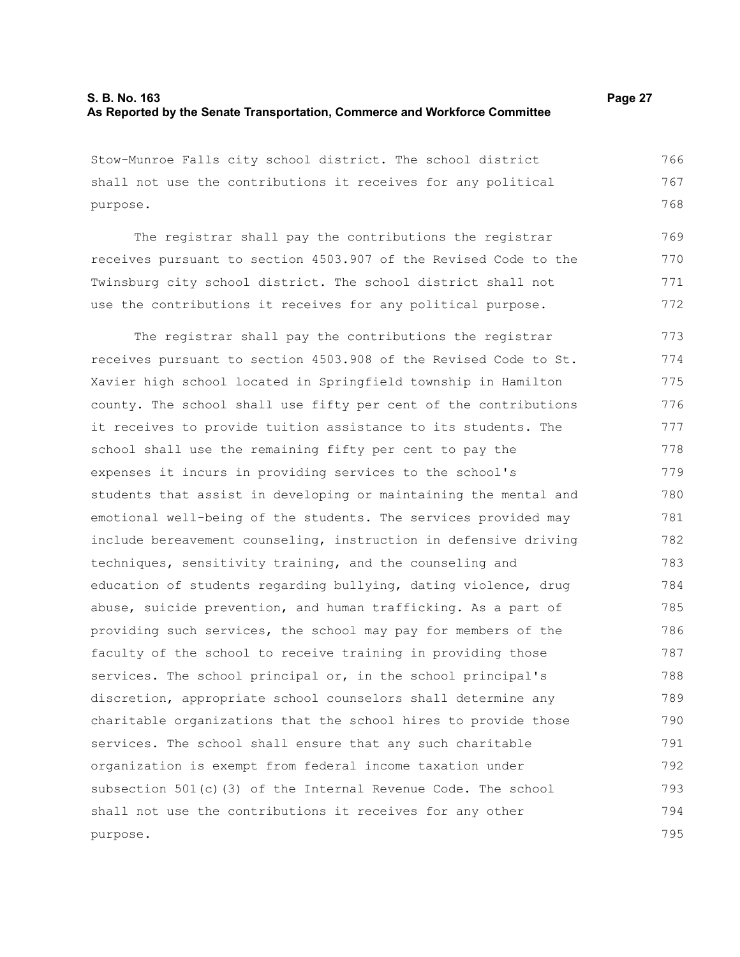Stow-Munroe Falls city school district. The school district shall not use the contributions it receives for any political purpose. 766 767 768

The registrar shall pay the contributions the registrar receives pursuant to section 4503.907 of the Revised Code to the Twinsburg city school district. The school district shall not use the contributions it receives for any political purpose. 769 770 771 772

The registrar shall pay the contributions the registrar receives pursuant to section 4503.908 of the Revised Code to St. Xavier high school located in Springfield township in Hamilton county. The school shall use fifty per cent of the contributions it receives to provide tuition assistance to its students. The school shall use the remaining fifty per cent to pay the expenses it incurs in providing services to the school's students that assist in developing or maintaining the mental and emotional well-being of the students. The services provided may include bereavement counseling, instruction in defensive driving techniques, sensitivity training, and the counseling and education of students regarding bullying, dating violence, drug abuse, suicide prevention, and human trafficking. As a part of providing such services, the school may pay for members of the faculty of the school to receive training in providing those services. The school principal or, in the school principal's discretion, appropriate school counselors shall determine any charitable organizations that the school hires to provide those services. The school shall ensure that any such charitable organization is exempt from federal income taxation under subsection 501(c)(3) of the Internal Revenue Code. The school shall not use the contributions it receives for any other purpose. 773 774 775 776 777 778 779 780 781 782 783 784 785 786 787 788 789 790 791 792 793 794 795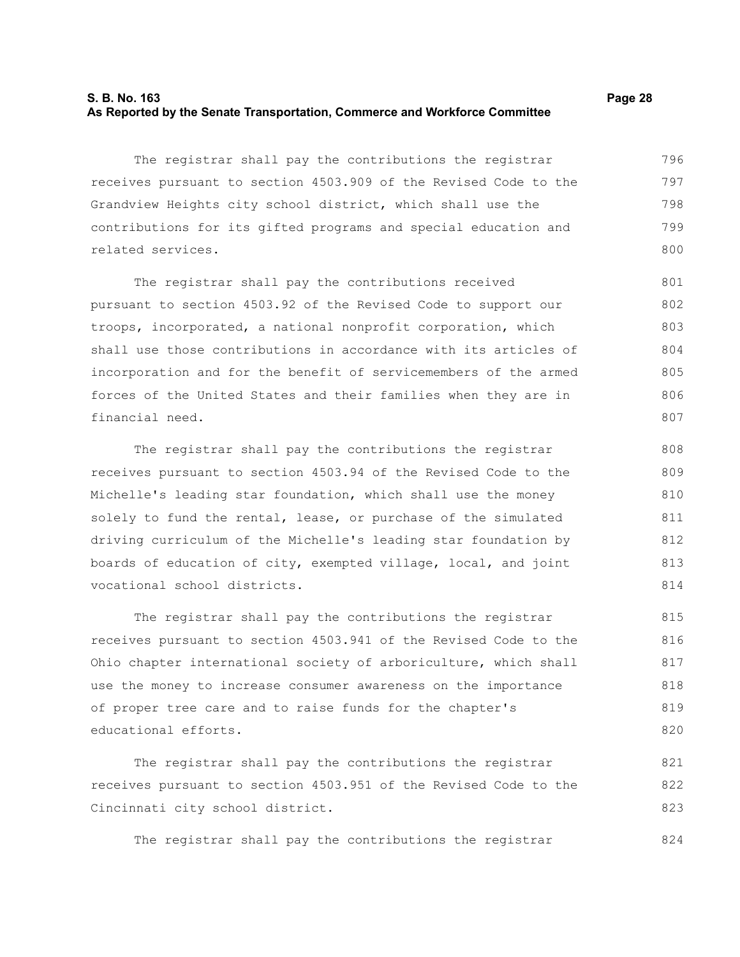#### **S. B. No. 163 Page 28 As Reported by the Senate Transportation, Commerce and Workforce Committee**

The registrar shall pay the contributions the registrar receives pursuant to section 4503.909 of the Revised Code to the Grandview Heights city school district, which shall use the contributions for its gifted programs and special education and related services. 796 797 798 799 800

The registrar shall pay the contributions received pursuant to section 4503.92 of the Revised Code to support our troops, incorporated, a national nonprofit corporation, which shall use those contributions in accordance with its articles of incorporation and for the benefit of servicemembers of the armed forces of the United States and their families when they are in financial need. 801 802 803 804 805 806 807

The registrar shall pay the contributions the registrar receives pursuant to section 4503.94 of the Revised Code to the Michelle's leading star foundation, which shall use the money solely to fund the rental, lease, or purchase of the simulated driving curriculum of the Michelle's leading star foundation by boards of education of city, exempted village, local, and joint vocational school districts.

The registrar shall pay the contributions the registrar receives pursuant to section 4503.941 of the Revised Code to the Ohio chapter international society of arboriculture, which shall use the money to increase consumer awareness on the importance of proper tree care and to raise funds for the chapter's educational efforts. 815 816 817 818 819 820

The registrar shall pay the contributions the registrar receives pursuant to section 4503.951 of the Revised Code to the Cincinnati city school district. 821 822 823

The registrar shall pay the contributions the registrar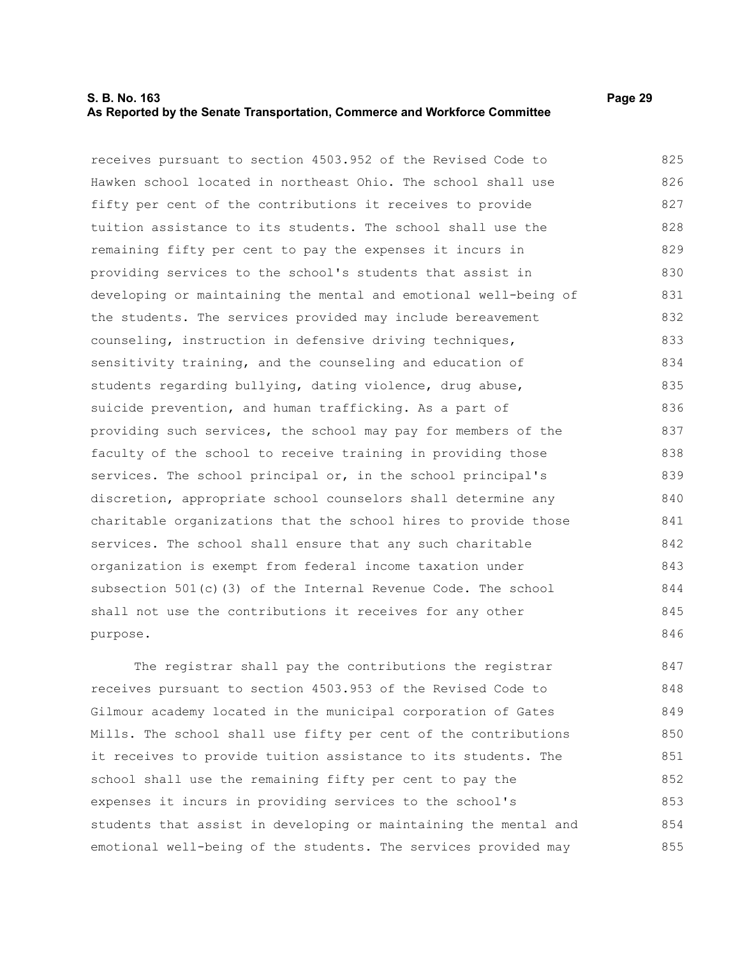#### **S. B. No. 163 Page 29 As Reported by the Senate Transportation, Commerce and Workforce Committee**

receives pursuant to section 4503.952 of the Revised Code to Hawken school located in northeast Ohio. The school shall use fifty per cent of the contributions it receives to provide tuition assistance to its students. The school shall use the remaining fifty per cent to pay the expenses it incurs in providing services to the school's students that assist in developing or maintaining the mental and emotional well-being of the students. The services provided may include bereavement counseling, instruction in defensive driving techniques, sensitivity training, and the counseling and education of students regarding bullying, dating violence, drug abuse, suicide prevention, and human trafficking. As a part of providing such services, the school may pay for members of the faculty of the school to receive training in providing those services. The school principal or, in the school principal's discretion, appropriate school counselors shall determine any charitable organizations that the school hires to provide those services. The school shall ensure that any such charitable organization is exempt from federal income taxation under subsection 501(c)(3) of the Internal Revenue Code. The school shall not use the contributions it receives for any other purpose. 825 826 827 828 829 830 831 832 833 834 835 836 837 838 839 840 841 842 843 844 845 846

The registrar shall pay the contributions the registrar receives pursuant to section 4503.953 of the Revised Code to Gilmour academy located in the municipal corporation of Gates Mills. The school shall use fifty per cent of the contributions it receives to provide tuition assistance to its students. The school shall use the remaining fifty per cent to pay the expenses it incurs in providing services to the school's students that assist in developing or maintaining the mental and emotional well-being of the students. The services provided may 847 848 849 850 851 852 853 854 855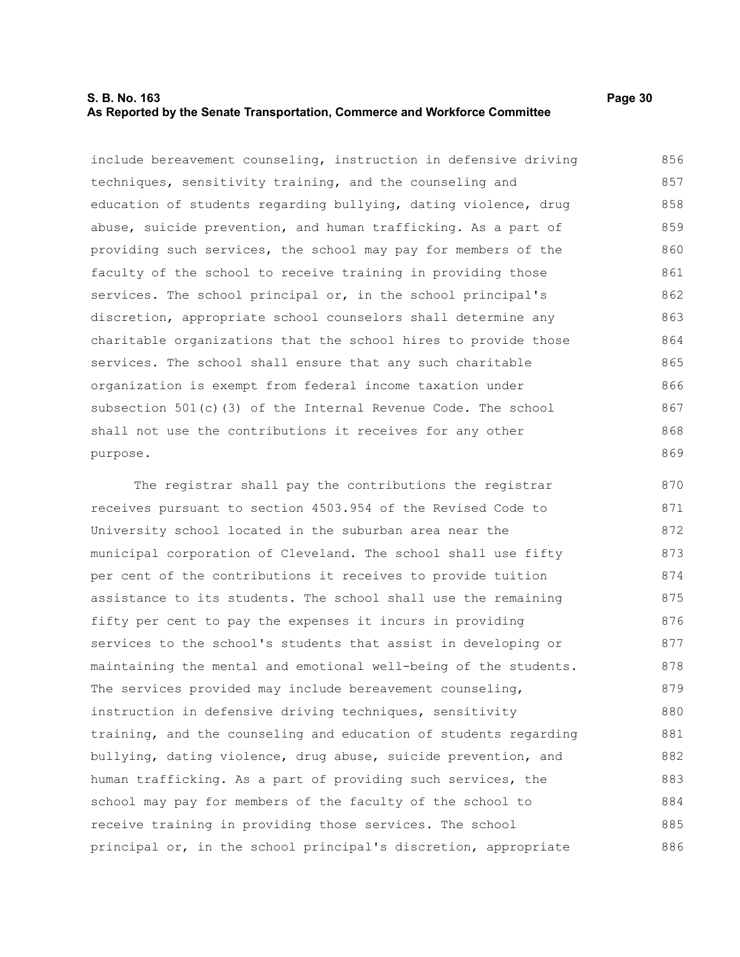### **S. B. No. 163 Page 30 As Reported by the Senate Transportation, Commerce and Workforce Committee**

include bereavement counseling, instruction in defensive driving techniques, sensitivity training, and the counseling and education of students regarding bullying, dating violence, drug abuse, suicide prevention, and human trafficking. As a part of providing such services, the school may pay for members of the faculty of the school to receive training in providing those services. The school principal or, in the school principal's discretion, appropriate school counselors shall determine any charitable organizations that the school hires to provide those services. The school shall ensure that any such charitable organization is exempt from federal income taxation under subsection 501(c)(3) of the Internal Revenue Code. The school shall not use the contributions it receives for any other purpose. 856 857 858 859 860 861 862 863 864 865 866 867 868 869

The registrar shall pay the contributions the registrar receives pursuant to section 4503.954 of the Revised Code to University school located in the suburban area near the municipal corporation of Cleveland. The school shall use fifty per cent of the contributions it receives to provide tuition assistance to its students. The school shall use the remaining fifty per cent to pay the expenses it incurs in providing services to the school's students that assist in developing or maintaining the mental and emotional well-being of the students. The services provided may include bereavement counseling, instruction in defensive driving techniques, sensitivity training, and the counseling and education of students regarding bullying, dating violence, drug abuse, suicide prevention, and human trafficking. As a part of providing such services, the school may pay for members of the faculty of the school to receive training in providing those services. The school principal or, in the school principal's discretion, appropriate 870 871 872 873 874 875 876 877 878 879 880 881 882 883 884 885 886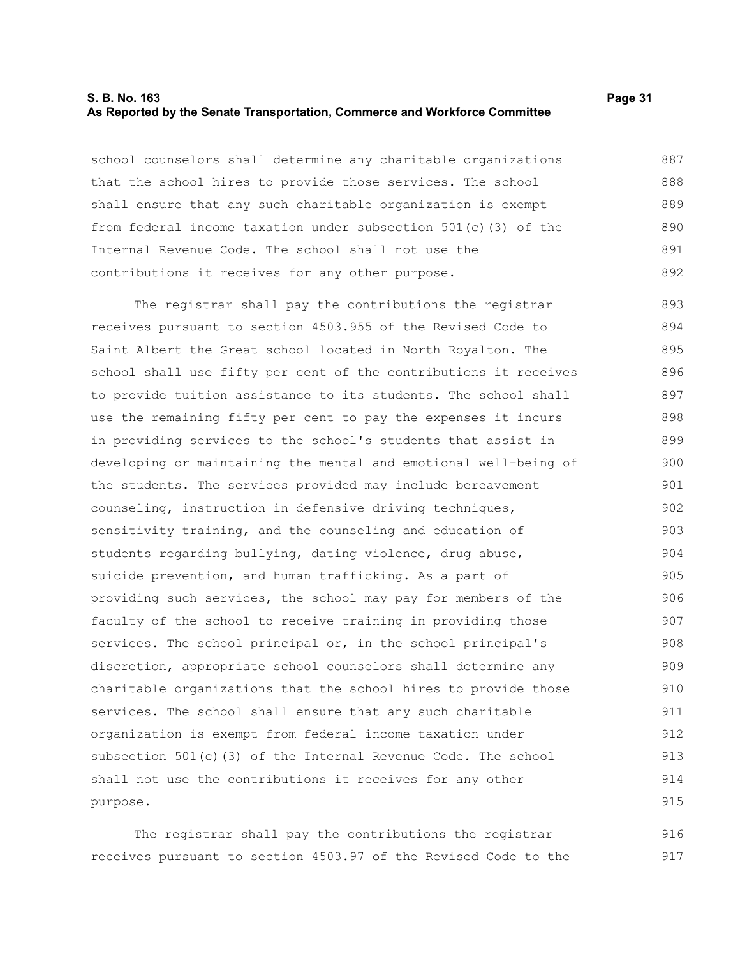#### **S. B. No. 163 Page 31 As Reported by the Senate Transportation, Commerce and Workforce Committee**

school counselors shall determine any charitable organizations that the school hires to provide those services. The school shall ensure that any such charitable organization is exempt from federal income taxation under subsection 501(c)(3) of the Internal Revenue Code. The school shall not use the contributions it receives for any other purpose. 887 888 889 890 891 892

The registrar shall pay the contributions the registrar receives pursuant to section 4503.955 of the Revised Code to Saint Albert the Great school located in North Royalton. The school shall use fifty per cent of the contributions it receives to provide tuition assistance to its students. The school shall use the remaining fifty per cent to pay the expenses it incurs in providing services to the school's students that assist in developing or maintaining the mental and emotional well-being of the students. The services provided may include bereavement counseling, instruction in defensive driving techniques, sensitivity training, and the counseling and education of students regarding bullying, dating violence, drug abuse, suicide prevention, and human trafficking. As a part of providing such services, the school may pay for members of the faculty of the school to receive training in providing those services. The school principal or, in the school principal's discretion, appropriate school counselors shall determine any charitable organizations that the school hires to provide those services. The school shall ensure that any such charitable organization is exempt from federal income taxation under subsection 501(c)(3) of the Internal Revenue Code. The school shall not use the contributions it receives for any other purpose. 893 894 895 896 897 898 899 900 901 902 903 904 905 906 907 908 909 910 911 912 913 914 915

The registrar shall pay the contributions the registrar receives pursuant to section 4503.97 of the Revised Code to the 916 917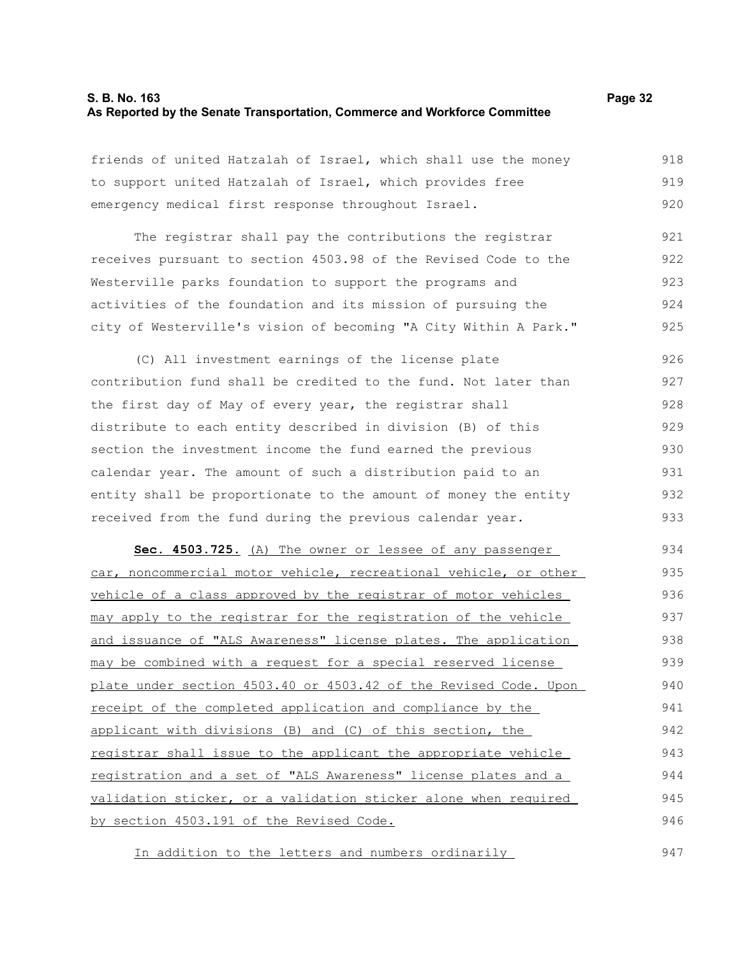#### **S. B. No. 163 Page 32 As Reported by the Senate Transportation, Commerce and Workforce Committee**

friends of united Hatzalah of Israel, which shall use the money to support united Hatzalah of Israel, which provides free emergency medical first response throughout Israel. 918 919 920

The registrar shall pay the contributions the registrar receives pursuant to section 4503.98 of the Revised Code to the Westerville parks foundation to support the programs and activities of the foundation and its mission of pursuing the city of Westerville's vision of becoming "A City Within A Park." 921 922 923 924 925

(C) All investment earnings of the license plate contribution fund shall be credited to the fund. Not later than the first day of May of every year, the registrar shall distribute to each entity described in division (B) of this section the investment income the fund earned the previous calendar year. The amount of such a distribution paid to an entity shall be proportionate to the amount of money the entity received from the fund during the previous calendar year. 926 927 928 929 930 931 932 933

**Sec. 4503.725.** (A) The owner or lessee of any passenger car, noncommercial motor vehicle, recreational vehicle, or other vehicle of a class approved by the registrar of motor vehicles may apply to the registrar for the registration of the vehicle and issuance of "ALS Awareness" license plates. The application may be combined with a request for a special reserved license plate under section 4503.40 or 4503.42 of the Revised Code. Upon receipt of the completed application and compliance by the applicant with divisions (B) and (C) of this section, the registrar shall issue to the applicant the appropriate vehicle registration and a set of "ALS Awareness" license plates and a validation sticker, or a validation sticker alone when required by section 4503.191 of the Revised Code. 934 935 936 937 938 939 940 941 942 943 944 945 946

In addition to the letters and numbers ordinarily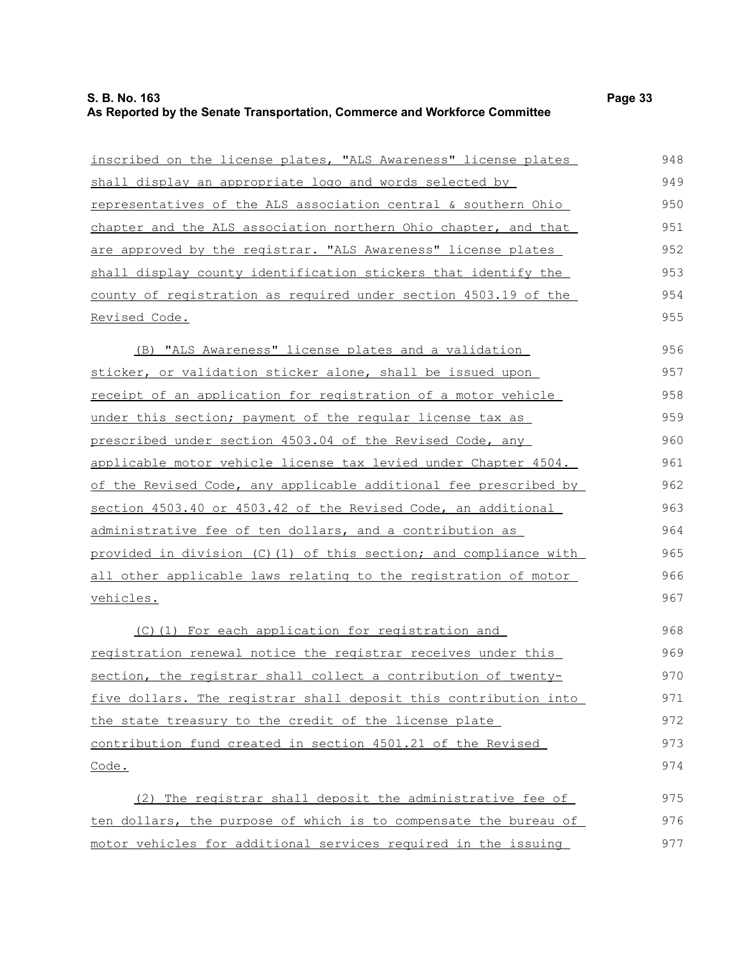| inscribed on the license plates, "ALS Awareness" license plates        | 948 |
|------------------------------------------------------------------------|-----|
| shall display an appropriate logo and words selected by                | 949 |
| representatives of the ALS association central & southern Ohio         | 950 |
| chapter and the ALS association northern Ohio chapter, and that        | 951 |
| are approved by the registrar. "ALS Awareness" license plates          | 952 |
| shall display county identification stickers that identify the         | 953 |
| county of registration as required under section 4503.19 of the        | 954 |
| <u>Revised Code.</u>                                                   | 955 |
| (B) "ALS Awareness" license plates and a validation                    | 956 |
| sticker, or validation sticker alone, shall be issued upon             | 957 |
| receipt of an application for registration of a motor vehicle          | 958 |
| under this section; payment of the regular license tax as              | 959 |
| prescribed under section 4503.04 of the Revised Code, any              | 960 |
| applicable motor vehicle license tax levied under Chapter 4504.        | 961 |
| of the Revised Code, any applicable additional fee prescribed by       | 962 |
| section 4503.40 or 4503.42 of the Revised Code, an additional          | 963 |
| administrative fee of ten dollars, and a contribution as               | 964 |
| provided in division (C)(1) of this section; and compliance with       | 965 |
| <u>all other applicable laws relating to the registration of motor</u> | 966 |
| vehicles.                                                              | 967 |
| (C)(1) For each application for registration and                       | 968 |
| registration renewal notice the registrar receives under this          | 969 |
| section, the registrar shall collect a contribution of twenty-         | 970 |
| five dollars. The registrar shall deposit this contribution into       | 971 |
| the state treasury to the credit of the license plate                  | 972 |
| contribution fund created in section 4501.21 of the Revised            | 973 |
| Code.                                                                  | 974 |
| (2) The registrar shall deposit the administrative fee of              | 975 |
| ten dollars, the purpose of which is to compensate the bureau of       | 976 |
| motor vehicles for additional services required in the issuing         | 977 |